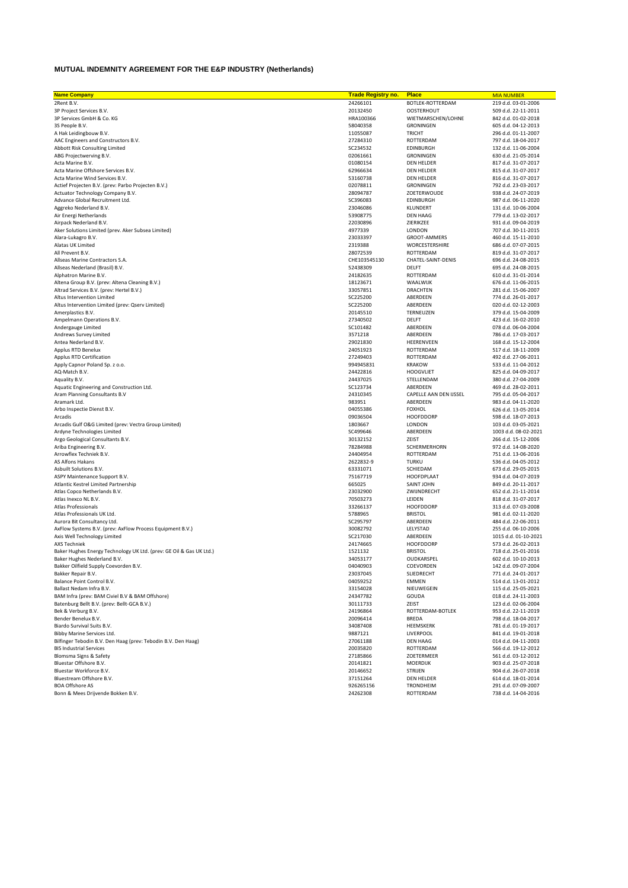| <b>Name Company</b>                                                                       | <b>Trade Registry no.</b> | <b>Place</b>                       | <b>MIA NUMBER</b>                          |
|-------------------------------------------------------------------------------------------|---------------------------|------------------------------------|--------------------------------------------|
| 2Rent B.V.                                                                                | 24266101                  | BOTLEK-ROTTERDAM                   | 219 d.d. 03-01-2006                        |
| 3P Project Services B.V.                                                                  | 20132450                  | <b>OOSTERHOUT</b>                  | 509 d.d. 22-11-2011                        |
| 3P Services GmbH & Co. KG                                                                 | HRA100366                 | WIETMARSCHEN/LOHNE                 | 842 d.d. 01-02-2018                        |
| 3S People B.V.                                                                            | 58040358                  | <b>GRONINGEN</b>                   | 605 d.d. 04-12-2013                        |
| A Hak Leidingbouw B.V.                                                                    | 11055087                  | <b>TRICHT</b>                      | 296 d.d. 01-11-2007                        |
| AAC Engineers and Constructors B.V.                                                       | 27284310                  | ROTTERDAM                          | 797 d.d. 18-04-2017                        |
| Abbott Risk Consulting Limited                                                            | SC234532                  | <b>EDINBURGH</b>                   | 132 d.d. 11-06-2004                        |
| ABG Projectwerving B.V.                                                                   | 02061661                  | <b>GRONINGEN</b>                   | 630 d.d. 21-05-2014                        |
| Acta Marine B.V.                                                                          | 01080154                  | <b>DEN HELDER</b>                  | 817 d.d. 31-07-2017                        |
| Acta Marine Offshore Services B.V.                                                        | 62966634                  | <b>DEN HELDER</b>                  | 815 d.d. 31-07-2017                        |
| Acta Marine Wind Services B.V.                                                            | 53160738                  | <b>DEN HELDER</b>                  | 816 d.d. 31-07-2017                        |
| Actief Projecten B.V. (prev: Parbo Projecten B.V.)                                        | 02078811                  | <b>GRONINGEN</b>                   | 792 d.d. 23-03-2017                        |
| Actuator Technology Company B.V.                                                          | 28094787                  | ZOETERWOUDE                        | 938 d.d. 24-07-2019                        |
| Advance Global Recruitment Ltd.                                                           | SC396083                  | <b>EDINBURGH</b>                   | 987 d.d. 06-11-2020                        |
|                                                                                           | 23046086                  | <b>KLUNDERT</b>                    | 131 d.d. 10-06-2004                        |
| Aggreko Nederland B.V.                                                                    |                           |                                    | 779 d.d. 13-02-2017                        |
| Air Energi Netherlands                                                                    | 53908775<br>22030896      | <b>DEN HAAG</b><br>ZIERIKZEE       | 931 d.d. 09-04-2019                        |
| Airpack Nederland B.V.                                                                    |                           |                                    |                                            |
| Aker Solutions Limited (prev. Aker Subsea Limited)                                        | 4977339                   | <b>LONDON</b>                      | 707 d.d. 30-11-2015                        |
| Alara-Lukagro B.V.                                                                        | 23033397                  | <b>GROOT-AMMERS</b>                | 460 d.d. 15-11-2010                        |
| Alatas UK Limited                                                                         | 2319388                   | <b>WORCESTERSHIRE</b>              | 686 d.d. 07-07-2015                        |
| All Prevent B.V.                                                                          | 28072539                  | ROTTERDAM                          | 819 d.d. 31-07-2017                        |
| Allseas Marine Contractors S.A.                                                           | CHE103545130              | CHATEL-SAINT-DENIS                 | 696 d.d. 24-08-2015                        |
| Allseas Nederland (Brasil) B.V.                                                           | 52438309                  | <b>DELFT</b>                       | 695 d.d. 24-08-2015                        |
| Alphatron Marine B.V.                                                                     | 24182635                  | ROTTERDAM                          | 610 d.d. 31-01-2014                        |
| Altena Group B.V. (prev: Altena Cleaning B.V.)                                            | 18123671                  | WAALWIJK                           | 676 d.d. 11-06-2015                        |
| Altrad Services B.V. (prev: Hertel B.V.)                                                  | 33057851                  | <b>DRACHTEN</b>                    | 281 d.d. 15-06-2007                        |
| Altus Intervention Limited                                                                | SC225200                  | ABERDEEN                           | 774 d.d. 26-01-2017                        |
| Altus Intervention Limited (prev: Qserv Limited)                                          | SC225200                  | ABERDEEN                           | 020 d.d. 02-12-2003                        |
| Amerplastics B.V.                                                                         | 20145510                  | TERNEUZEN                          | 379 d.d. 15-04-2009                        |
| Ampelmann Operations B.V.                                                                 | 27340502                  | <b>DELFT</b>                       | 423 d.d. 16-02-2010                        |
| Andergauge Limited                                                                        | SC101482                  | ABERDEEN                           | 078 d.d. 06-04-2004                        |
| Andrews Survey Limited                                                                    | 3571218                   | ABERDEEN                           | 786 d.d. 17-03-2017                        |
| Antea Nederland B.V.                                                                      | 29021830                  | HEERENVEEN                         | 168 d.d. 15-12-2004                        |
| Applus RTD Benelux                                                                        | 24051923                  | ROTTERDAM                          | 517 d.d. 18-11-2009                        |
| <b>Applus RTD Certification</b>                                                           | 27249403                  | ROTTERDAM                          | 492 d.d. 27-06-2011                        |
| Apply Capnor Poland Sp. z o.o.                                                            | 994945831                 | <b>KRAKOW</b>                      | 533 d.d. 11-04-2012                        |
| AQ-Match B.V.                                                                             | 24422816                  | <b>HOOGVLIET</b>                   | 825 d.d. 04-09-2017                        |
| Aquality B.V.                                                                             | 24437025                  | STELLENDAM                         | 380 d.d. 27-04-2009                        |
| Aquatic Engineering and Construction Ltd.                                                 | SC123734                  | ABERDEEN                           | 469 d.d. 28-02-2011                        |
| Aram Planning Consultants B.V                                                             | 24310345                  | <b>CAPELLE AAN DEN IJSSEL</b>      | 795 d.d. 05-04-2017                        |
| Aramark Ltd.                                                                              | 983951                    | ABERDEEN                           | 983 d.d. 04-11-2020                        |
| Arbo Inspectie Dienst B.V.                                                                | 04055386                  | <b>FOXHOL</b>                      | 626 d.d. 13-05-2014                        |
| Arcadis                                                                                   | 09036504                  | <b>HOOFDDORP</b>                   | 598 d.d. 18-07-2013                        |
| Arcadis Gulf O&G Limited (prev: Vectra Group Limited)                                     | 1803667                   | <b>LONDON</b>                      | 103 d.d. 03-05-2021                        |
| Ardyne Technologies Limited                                                               | SC499646                  | ABERDEEN                           | 1003 d.d. 08-02-2021                       |
| Argo Geological Consultants B.V.                                                          | 30132152                  | <b>ZEIST</b>                       | 266 d.d. 15-12-2006                        |
| Ariba Engineering B.V.                                                                    | 78284988                  | <b>SCHERMERHORN</b>                | 972 d.d. 14-08-2020                        |
| Arrowflex Techniek B.V.                                                                   | 24404954                  | ROTTERDAM                          | 751 d.d. 13-06-2016                        |
| AS Alfons Hakans                                                                          | 2622832-9                 | <b>TURKU</b>                       | 536 d.d. 04-05-2012                        |
| Asbuilt Solutions B.V.                                                                    | 63331071                  | SCHIEDAM                           | 673 d.d. 29-05-2015                        |
| ASPY Maintenance Support B.V.                                                             | 75167719                  | <b>HOOFDPLAAT</b>                  | 934 d.d. 04-07-2019                        |
| Atlantic Kestrel Limited Partnership                                                      | 665025                    | <b>SAINT JOHN</b>                  | 849 d.d. 20-11-2017                        |
| Atlas Copco Netherlands B.V.                                                              | 23032900                  | ZWIJNDRECHT                        | 652 d.d. 21-11-2014                        |
| Atlas Inexco NL B.V.                                                                      | 70503273                  | LEIDEN                             | 818 d.d. 31-07-2017                        |
| <b>Atlas Professionals</b>                                                                | 33266137                  | <b>HOOFDDORP</b>                   | 313 d.d. 07-03-2008                        |
| Atlas Professionals UK Ltd.                                                               | 5788965                   | <b>BRISTOL</b>                     | 981 d.d. 02-11-2020                        |
| Aurora Bit Consultancy Ltd.                                                               | SC295797                  | ABERDEEN                           | 484 d.d. 22-06-2011                        |
|                                                                                           | 30082792                  | LELYSTAD                           | 255 d.d. 06-10-2006                        |
| AxFlow Systems B.V. (prev: AxFlow Process Equipment B.V.)<br>Axis Well Technology Limited | SC217030                  | ABERDEEN                           | 1015 d.d. 01-10-2021                       |
|                                                                                           |                           |                                    |                                            |
| <b>AXS Techniek</b>                                                                       | 24174665<br>1521132       | <b>HOOFDDORP</b><br><b>BRISTOL</b> | 573 d.d. 26-02-2013<br>718 d.d. 25-01-2016 |
| Baker Hughes Energy Technology UK Ltd. (prev: GE Oil & Gas UK Ltd.)                       |                           |                                    |                                            |
| Baker Hughes Nederland B.V.                                                               | 34053177                  | OUDKARSPEL                         | 602 d.d. 10-10-2013                        |
| Bakker Oilfield Supply Coevorden B.V.                                                     | 04040903                  | COEVORDEN                          | 142 d.d. 09-07-2004                        |
| Bakker Repair B.V.                                                                        | 23037045                  | <b>SLIEDRECHT</b>                  | 771 d.d. 24-01-2017                        |
| Balance Point Control B.V.                                                                | 04059252                  | <b>EMMEN</b>                       | 514 d.d. 13-01-2012                        |
| Ballast Nedam Infra B.V.                                                                  | 33154028                  | NIEUWEGEIN                         | 115 d.d. 25-05-2021                        |
| BAM Infra (prev: BAM Civiel B.V & BAM Offshore)                                           | 24347782                  | <b>GOUDA</b>                       | 018 d.d. 24-11-2003                        |
| Batenburg Bellt B.V. (prev: Bellt-GCA B.V.)                                               | 30111733                  | <b>ZEIST</b>                       | 123 d.d. 02-06-2004                        |
| Bek & Verburg B.V.                                                                        | 24196864                  | ROTTERDAM-BOTLEK                   | 953 d.d. 22-11-2019                        |
| Bender Benelux B.V.                                                                       | 20096414                  | <b>BREDA</b>                       | 798 d.d. 18-04-2017                        |
| Biardo Survival Suits B.V.                                                                | 34087408                  | HEEMSKERK                          | 781 d.d. 01-19-2017                        |
| Bibby Marine Services Ltd.                                                                | 9887121                   | <b>LIVERPOOL</b>                   | 841 d.d. 19-01-2018                        |
| Bilfinger Tebodin B.V. Den Haag (prev: Tebodin B.V. Den Haag)                             | 27061188                  | <b>DEN HAAG</b>                    | 014 d.d. 04-11-2003                        |
| <b>BIS Industrial Services</b>                                                            | 20035820                  | ROTTERDAM                          | 566 d.d. 19-12-2012                        |
| Blomsma Signs & Safety                                                                    | 27185866                  | ZOETERMEER                         | 561 d.d. 03-12-2012                        |
| Bluestar Offshore B.V.                                                                    | 20141821                  | <b>MOERDIJK</b>                    | 903 d.d. 25-07-2018                        |
| Bluestar Workforce B.V.                                                                   | 20146652                  | <b>STRIJEN</b>                     | 904 d.d. 26-07-2018                        |
| Bluestream Offshore B.V.                                                                  | 37151264                  | <b>DEN HELDER</b>                  | 614 d.d. 18-01-2014                        |
| <b>BOA Offshore AS</b>                                                                    | 926265156                 | <b>TRONDHEIM</b>                   | 291 d.d. 07-09-2007                        |
| Bonn & Mees Drijvende Bokken B.V.                                                         | 24262308                  | ROTTERDAM                          | 738 d.d. 14-04-2016                        |

## **MUTUAL INDEMNITY AGREEMENT FOR THE E&P INDUSTRY (Netherlands)**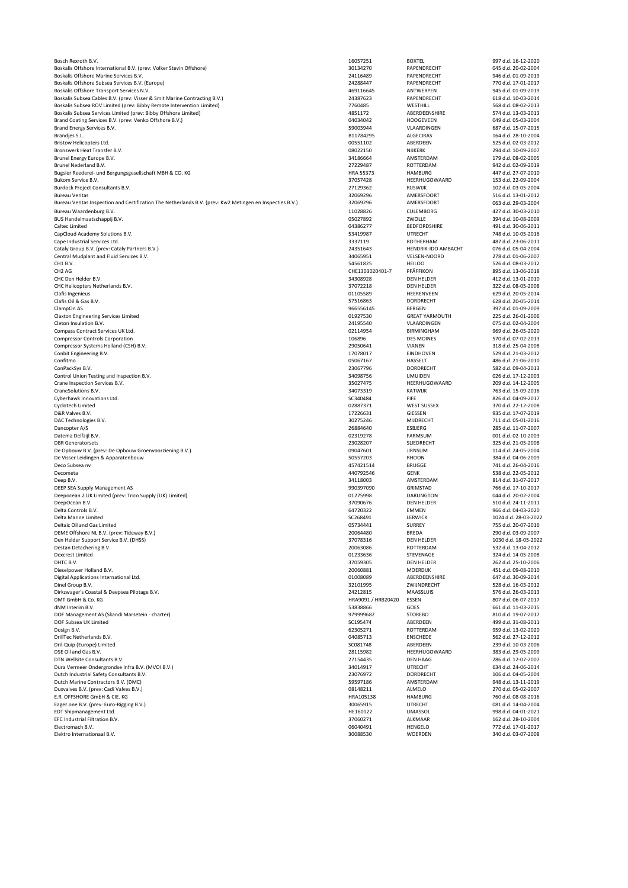| Bosch Rexroth B.V.                                                                                       | 16057251           | <b>BOXTEL</b>              | 997 d.d. 16-12-2020                        |
|----------------------------------------------------------------------------------------------------------|--------------------|----------------------------|--------------------------------------------|
| Boskalis Offshore International B.V. (prev: Volker Stevin Offshore)                                      | 30134270           | PAPENDRECHT                | 045 d.d. 20-02-2004                        |
| Boskalis Offshore Marine Services B.V.                                                                   | 24116489           | PAPENDRECHT                | 946 d.d. 01-09-2019                        |
|                                                                                                          |                    |                            |                                            |
| Boskalis Offshore Subsea Services B.V. (Europe)                                                          | 24288447           | PAPENDRECHT                | 770 d.d. 17-01-2017                        |
| Boskalis Offshore Transport Services N.V.                                                                | 469116645          | ANTWERPEN                  | 945 d.d. 01-09-2019                        |
| Boskalis Subsea Cables B.V. (prev: Visser & Smit Marine Contracting B.V.)                                | 24387623           | PAPENDRECHT                | 618 d.d. 10-03-2014                        |
| Boskalis Subsea ROV Limited (prev: Bibby Remote Intervention Limited)                                    | 7760485            | WESTHILL                   | 568 d.d. 08-02-2013                        |
| Boskalis Subsea Services Limited (prev: Bibby Offshore Limited)                                          | 4851172            | ABERDEENSHIRE              | 574 d.d. 13-03-2013                        |
| Brand Coating Services B.V. (prev: Venko Offshore B.V.)                                                  | 04034042           | <b>HOOGEVEEN</b>           | 049 d.d. 05-03-2004                        |
|                                                                                                          |                    |                            |                                            |
| Brand Energy Services B.V.                                                                               | 59003944           | VLAARDINGEN                | 687 d.d. 15-07-2015                        |
| Brandjes S.L.                                                                                            | B11784295          | <b>ALGECIRAS</b>           | 164 d.d. 28-10-2004                        |
| Bristow Helicopters Ltd.                                                                                 | 00551102           | ABERDEEN                   | 525 d.d. 02-03-2012                        |
| Bronswerk Heat Transfer B.V.                                                                             | 08022150           | <b>NIJKERK</b>             | 294 d.d. 10-09-2007                        |
| Brunel Energy Europe B.V.                                                                                | 34186664           | AMSTERDAM                  | 179 d.d. 08-02-2005                        |
| Brunel Nederland B.V.                                                                                    | 27229487           | ROTTERDAM                  | 942 d.d. 02-09-2019                        |
| Bugsier Reederei- und Bergungsgesellschaft MBH & CO. KG                                                  | HRA 55373          | <b>HAMBURG</b>             | 447 d.d. 27-07-2010                        |
|                                                                                                          |                    |                            |                                            |
| Bukom Service B.V.                                                                                       | 37057428           | HEERHUGOWAARD              | 153 d.d. 22-09-2004                        |
| Burdock Project Consultants B.V.                                                                         | 27129362           | <b>RIJSWIJK</b>            | 102 d.d. 03-05-2004                        |
| <b>Bureau Veritas</b>                                                                                    | 32069296           | AMERSFOORT                 | 516 d.d. 13-01-2012                        |
| Bureau Veritas Inspection and Certification The Netherlands B.V. (prev: Kw2 Metingen en Inspecties B.V.) | 32069296           | AMERSFOORT                 | 063 d.d. 29-03-2004                        |
| Bureau Waardenburg B.V.                                                                                  | 11028826           | <b>CULEMBORG</b>           | 427 d.d. 30-03-2010                        |
| BUS Handelmaatschappij B.V.                                                                              | 05027892           | ZWOLLE                     | 394 d.d. 10-08-2009                        |
|                                                                                                          |                    |                            |                                            |
| <b>Caltec Limited</b>                                                                                    | 04386277           | <b>BEDFORDSHIRE</b>        | 491 d.d. 30-06-2011                        |
| CapCloud Academy Solutions B.V.                                                                          | 53419987           | <b>UTRECHT</b>             | 748 d.d. 10-05-2016                        |
| Cape Industrial Services Ltd.                                                                            | 3337119            | <b>ROTHERHAM</b>           | 487 d.d. 23-06-2011                        |
| Cataly Group B.V. (prev: Cataly Partners B.V.)                                                           | 24351643           | <b>HENDRIK-IDO AMBACHT</b> | 076 d.d. 05-04-2004                        |
| Central Mudplant and Fluid Services B.V.                                                                 | 34065951           | <b>VELSEN-NOORD</b>        | 278 d.d. 01-06-2007                        |
| CH1 B.V.                                                                                                 | 54561825           | <b>HEILOO</b>              | 526 d.d. 08-03-2012                        |
| CH <sub>2</sub> AG                                                                                       | CHE1303020401-7    | PFÄFFIKON                  | 895 d.d. 13-06-2018                        |
| CHC Den Helder B.V.                                                                                      | 34308928           | <b>DEN HELDER</b>          | 412 d.d. 13-01-2010                        |
|                                                                                                          |                    |                            |                                            |
| CHC Helicopters Netherlands B.V.                                                                         | 37072218           | <b>DEN HELDER</b>          | 322 d.d. 08-05-2008                        |
| Clafis Ingenieus                                                                                         | 01105589           | HEERENVEEN                 | 629 d.d. 20-05-2014                        |
| Clafis Oil & Gas B.V.                                                                                    | 57516863           | <b>DORDRECHT</b>           | 628 d.d. 20-05-2014                        |
| ClampOn AS                                                                                               | 966556145          | <b>BERGEN</b>              | 397 d.d. 01-09-2009                        |
| <b>Claxton Engineering Services Limited</b>                                                              | 01927530           | <b>GREAT YARMOUTH</b>      | 225 d.d. 26-01-2006                        |
| Cleton Insulation B.V.                                                                                   | 24195540           | VLAARDINGEN                | 075 d.d. 02-04-2004                        |
| Compass Contract Services UK Ltd.                                                                        | 02114954           | <b>BIRMINGHAM</b>          | 969 d.d. 26-05-2020                        |
|                                                                                                          |                    |                            |                                            |
| <b>Compressor Controls Corporation</b>                                                                   | 106896             | <b>DES MOINES</b>          | 570 d.d. 07-02-2013                        |
| Compressor Systems Holland (CSH) B.V.                                                                    | 29050641           | <b>VIANEN</b>              | 318 d.d. 25-04-2008                        |
| Conbit Engineering B.V.                                                                                  | 17078017           | <b>EINDHOVEN</b>           | 529 d.d. 21-03-2012                        |
| Confitmo                                                                                                 | 05067167           | <b>HASSELT</b>             | 486 d.d. 21-06-2010                        |
| ConPackSys B.V.                                                                                          | 23067796           | <b>DORDRECHT</b>           | 582 d.d. 09-04-2013                        |
| Control Union Testing and Inspection B.V.                                                                | 34098756           | <b>IJMUIDEN</b>            | 026 d.d. 17-12-2003                        |
| Crane Inspection Services B.V.                                                                           | 35027475           | HEERHUGOWAARD              | 209 d.d. 14-12-2005                        |
| CraneSolutions B.V.                                                                                      | 34073319           | <b>KATWIJK</b>             | 763 d.d. 15-09-2016                        |
|                                                                                                          |                    |                            |                                            |
| Cyberhawk Innovations Ltd.                                                                               | SC340484           | <b>FIFE</b>                | 826 d.d. 04-09-2017                        |
|                                                                                                          |                    |                            |                                            |
| Cyclotech Limited                                                                                        | 02887371           | <b>WEST SUSSEX</b>         | 370 d.d. 22-12-2008                        |
| D&R Valves B.V.                                                                                          | 17226631           | GIESSEN                    | 935 d.d. 17-07-2019                        |
| DAC Technologies B.V.                                                                                    | 30275246           | <b>MIJDRECHT</b>           | 711 d.d. 05-01-2016                        |
|                                                                                                          | 26884640           | <b>ESBJERG</b>             | 285 d.d. 11-07-2007                        |
| Dancopter A/S                                                                                            |                    |                            |                                            |
| Datema Delfzijl B.V.                                                                                     | 02319278           | <b>FARMSUM</b>             | 001 d.d. 02-10-2003                        |
| <b>DBR</b> Generatorsets                                                                                 | 23028207           | SLIEDRECHT                 | 325 d.d. 21-05-2008                        |
| De Opbouw B.V. (prev: De Opbouw Groenvoorziening B.V.)                                                   | 09047601           | <b>JIRNSUM</b>             | 114 d.d. 24-05-2004                        |
| De Visser Leidingen & Apparatenbouw                                                                      | 50557203           | <b>RHOON</b>               | 384 d.d. 04-06-2009                        |
| Deco Subsea nv                                                                                           | 457421514          | <b>BRUGGE</b>              | 741 d.d. 26-04-2016                        |
| Decometa                                                                                                 | 440792546          | <b>GENK</b>                | 538 d.d. 22-05-2012                        |
| Deep B.V.                                                                                                | 34118003           | AMSTERDAM                  | 814 d.d. 31-07-2017                        |
| DEEP SEA Supply Management AS                                                                            | 990397090          | <b>GRIMSTAD</b>            | 766 d.d. 17-10-2017                        |
| Deepocean 2 UK Limited (prev: Trico Supply (UK) Limited)                                                 | 01275998           | <b>DARLINGTON</b>          | 044 d.d. 20-02-2004                        |
|                                                                                                          |                    |                            |                                            |
| DeepOcean B.V.                                                                                           | 37090676           | <b>DEN HELDER</b>          | 510 d.d. 24-11-2011                        |
| Delta Controls B.V.                                                                                      | 64720322           | <b>EMMEN</b>               | 966 d.d. 04-03-2020                        |
| Delta Marine Limited                                                                                     | SC268491           | <b>LERWICK</b>             | 1024 d.d. 28-03-2022                       |
| Deltaic Oil and Gas Limited                                                                              | 05734441           | <b>SURREY</b>              | 755 d.d. 20-07-2016                        |
| DEME Offshore NL B.V. (prev: Tideway B.V.)                                                               | 20064480           | <b>BREDA</b>               | 290 d.d. 03-09-2007                        |
| Den Helder Support Service B.V. (DHSS)                                                                   | 37078316           | DEN HELDER                 | 1030 d.d. 18-05-2022                       |
| Destan Detachering B.V.                                                                                  | 20063086           | ROTTERDAM                  | 532 d.d. 13-04-2012                        |
| <b>Dexcrest Limited</b>                                                                                  | 01233636           | STEVENAGE                  | 324 d.d. 14-05-2008                        |
| DHTC B.V.                                                                                                | 37059305           | <b>DEN HELDER</b>          | 262 d.d. 25-10-2006                        |
|                                                                                                          |                    |                            |                                            |
| Dieselpower Holland B.V.                                                                                 | 20060881           | <b>MOERDIJK</b>            | 451 d.d. 09-08-2010                        |
| Digital Applications International Ltd.                                                                  | 01008089           | ABERDEENSHIRE              | 647 d.d. 30-09-2014                        |
| Dinel Group B.V.                                                                                         | 32101995           | ZWIJNDRECHT                | 528 d.d. 16-03-2012                        |
| Dirkzwager's Coastal & Deepsea Pilotage B.V.                                                             | 24212815           | <b>MAASSLUIS</b>           | 576 d.d. 26-03-2013                        |
| DMT GmbH & Co. KG                                                                                        | HRA9091 / HRB20420 | <b>ESSEN</b>               | 807 d.d. 06-07-2017                        |
| dNM Interim B.V.                                                                                         | 53838866           | GOES                       | 661 d.d. 11-03-2015                        |
| DOF Management AS (Skandi Marsetein - charter)                                                           | 979999682          | <b>STOREBO</b>             | 810 d.d. 19-07-2017                        |
| DOF Subsea UK Limited                                                                                    | SC195474           | ABERDEEN                   | 499 d.d. 31-08-2011                        |
|                                                                                                          |                    |                            |                                            |
| Dosign B.V.                                                                                              | 62305271           | ROTTERDAM                  | 959 d.d. 13-02-2020                        |
| DrillTec Netherlands B.V.                                                                                | 04085713           | <b>ENSCHEDE</b>            | 562 d.d. 27-12-2012                        |
| Dril-Quip (Europe) Limited                                                                               | SC081748           | ABERDEEN                   | 239 d.d. 10-03-2006                        |
| DSE Oil and Gas B.V.                                                                                     | 28115982           | HEERHUGOWAARD              | 383 d.d. 29-05-2009                        |
| DTN Wellsite Consultants B.V.                                                                            | 27154435           | <b>DEN HAAG</b>            | 286 d.d. 12-07-2007                        |
| Dura Vermeer Ondergrondse Infra B.V. (MVOI B.V.)                                                         | 34014917           | <b>UTRECHT</b>             | 634 d.d. 24-06-2014                        |
| Dutch Industrial Safety Consultants B.V.                                                                 | 23076972           | <b>DORDRECHT</b>           | 106 d.d. 04-05-2004                        |
| Dutch Marine Contractors B.V. (DMC)                                                                      | 59597186           | AMSTERDAM                  | 948 d.d. 13-11-2019                        |
|                                                                                                          |                    |                            |                                            |
| Duxvalves B.V. (prev: Cadi Valves B.V.)                                                                  | 08148211           | ALMELO                     | 270 d.d. 05-02-2007                        |
| E.R. OFFSHORE GmbH & CIE. KG                                                                             | HRA105138          | <b>HAMBURG</b>             | 760 d.d. 08-08-2016                        |
| Eager.one B.V. (prev: Euro-Rigging B.V.)                                                                 | 30065915           | <b>UTRECHT</b>             | 081 d.d. 14-04-2004                        |
| EDT Shipmanagement Ltd.                                                                                  | HE160122           | <b>LIMASSOL</b>            | 998 d.d. 04-01-2021                        |
| EFC Industrial Filtration B.V.                                                                           | 37060271           | ALKMAAR                    | 162 d.d. 28-10-2004                        |
| Electromach B.V.                                                                                         | 06040491           | <b>HENGELO</b>             | 772 d.d. 17-01-2017<br>340 d.d. 03-07-2008 |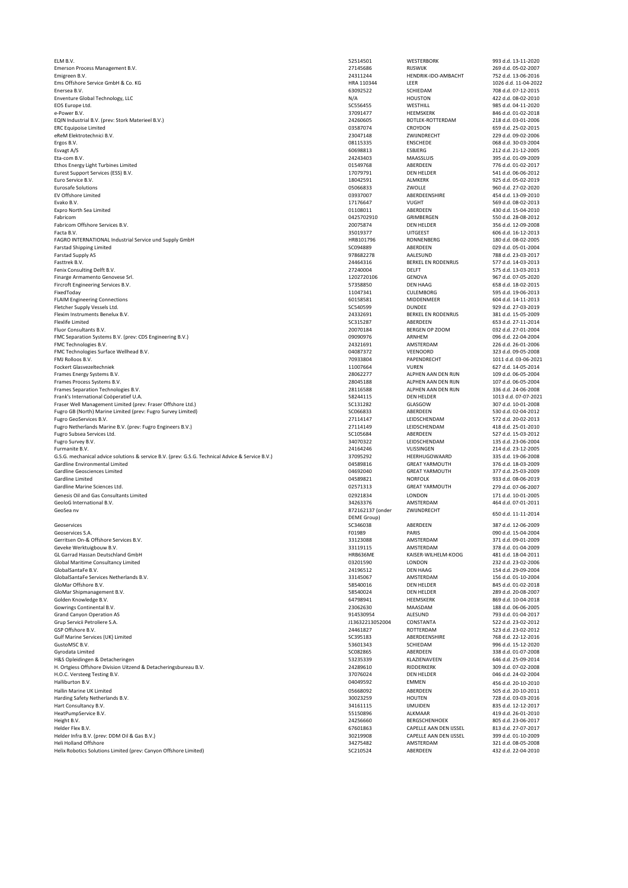|                                                                                                  | 52514501         | <b>WESTERBORK</b>             | 993 d.d. 13-11-2020  |
|--------------------------------------------------------------------------------------------------|------------------|-------------------------------|----------------------|
| Emerson Process Management B.V.                                                                  | 27145686         | <b>RIJSWIJK</b>               | 269 d.d. 05-02-2007  |
| Emigreen B.V.                                                                                    | 24311244         | HENDRIK-IDO-AMBACHT           | 752 d.d. 13-06-2016  |
| Ems Offshore Service GmbH & Co. KG                                                               | HRA 110344       | LEER                          | 1026 d.d. 11-04-2022 |
|                                                                                                  |                  |                               |                      |
| Enersea B.V.                                                                                     | 63092522         | <b>SCHIEDAM</b>               | 708 d.d. 07-12-2015  |
| Enventure Global Technology, LLC                                                                 | N/A              | <b>HOUSTON</b>                | 422 d.d. 08-02-2010  |
| EOS Europe Ltd.                                                                                  | SC556455         | WESTHILL                      | 985 d.d. 04-11-2020  |
| e-Power B.V.                                                                                     | 37091477         | <b>HEEMSKERK</b>              | 846 d.d. 01-02-2018  |
|                                                                                                  |                  |                               |                      |
| EQIN Industrial B.V. (prev: Stork Materieel B.V.)                                                | 24260605         | BOTLEK-ROTTERDAM              | 218 d.d. 03-01-2006  |
| <b>ERC Equipoise Limited</b>                                                                     | 03587074         | <b>CROYDON</b>                | 659 d.d. 25-02-2015  |
| eReM Elektrotechnici B.V.                                                                        | 23047148         | ZWIJNDRECHT                   | 229 d.d. 09-02-2006  |
| Ergos B.V.                                                                                       | 08115335         | <b>ENSCHEDE</b>               | 068 d.d. 30-03-2004  |
|                                                                                                  | 60698813         | <b>ESBJERG</b>                | 212 d.d. 21-12-2005  |
| Esvagt A/S                                                                                       |                  |                               |                      |
| Eta-com B.V.                                                                                     | 24243403         | <b>MAASSLUIS</b>              | 395 d.d. 01-09-2009  |
| Ethos Energy Light Turbines Limited                                                              | 01549768         | ABERDEEN                      | 776 d.d. 01-02-2017  |
| Eurest Support Services (ESS) B.V.                                                               | 17079791         | <b>DEN HELDER</b>             | 541 d.d. 06-06-2012  |
| Euro Service B.V.                                                                                | 18042591         | ALMKERK                       | 925 d.d. 05-02-2019  |
| <b>Eurosafe Solutions</b>                                                                        | 05066833         | ZWOLLE                        | 960 d.d. 27-02-2020  |
|                                                                                                  |                  |                               |                      |
| <b>EV Offshore Limited</b>                                                                       | 03937007         | ABERDEENSHIRE                 | 454 d.d. 13-09-2010  |
| Evako B.V.                                                                                       | 17176647         | <b>VUGHT</b>                  | 569 d.d. 08-02-2013  |
| <b>Expro North Sea Limited</b>                                                                   | 01108011         | ABERDEEN                      | 430 d.d. 15-04-2010  |
| Fabricom                                                                                         | 0425702910       | GRIMBERGEN                    | 550 d.d. 28-08-2012  |
|                                                                                                  |                  |                               |                      |
| Fabricom Offshore Services B.V.                                                                  | 20075874         | <b>DEN HELDER</b>             | 356 d.d. 12-09-2008  |
| Facta B.V.                                                                                       | 35019377         | <b>UITGEEST</b>               | 606 d.d. 16-12-2013  |
| FAGRO INTERNATIONAL Industrial Service und Supply GmbH                                           | HRB101796        | RONNENBERG                    | 180 d.d. 08-02-2005  |
| <b>Farstad Shipping Limited</b>                                                                  | SC094889         | ABERDEEN                      | 029 d.d. 05-01-2004  |
|                                                                                                  |                  |                               |                      |
| <b>Farstad Supply AS</b>                                                                         | 978682278        | AALESUND                      | 788 d.d. 23-03-2017  |
| Fasttrek B.V.                                                                                    | 24464316         | <b>BERKEL EN RODENRIJS</b>    | 577 d.d. 14-03-2013  |
| Fenix Consulting Delft B.V.                                                                      | 27240004         | <b>DELFT</b>                  | 575 d.d. 13-03-2013  |
| Finarge Armamento Genovese Srl.                                                                  | 1202720106       | <b>GENOVA</b>                 | 967 d.d. 07-05-2020  |
|                                                                                                  |                  |                               |                      |
| Fircroft Engineering Services B.V.                                                               | 57358850         | <b>DEN HAAG</b>               | 658 d.d. 18-02-2015  |
| FixedToday                                                                                       | 11047341         | <b>CULEMBORG</b>              | 595 d.d. 19-06-2013  |
| <b>FLAIM Engineering Connections</b>                                                             | 60158581         | MIDDENMEER                    | 604 d.d. 14-11-2013  |
| Fletcher Supply Vessels Ltd.                                                                     | SC540599         | <b>DUNDEE</b>                 | 929 d.d. 27-03-2019  |
|                                                                                                  |                  |                               |                      |
| Flexim Instruments Benelux B.V.                                                                  | 24332691         | <b>BERKEL EN RODENRIJS</b>    | 381 d.d. 15-05-2009  |
| <b>Flexlife Limited</b>                                                                          | SC315287         | ABERDEEN                      | 653 d.d. 27-11-2014  |
| Fluor Consultants B.V.                                                                           | 20070184         | <b>BERGEN OP ZOOM</b>         | 032 d.d. 27-01-2004  |
|                                                                                                  |                  |                               | 096 d.d. 22-04-2004  |
| FMC Separation Systems B.V. (prev: CDS Engineering B.V.)                                         | 09090976         | ARNHEM                        |                      |
| FMC Technologies B.V.                                                                            | 24321691         | AMSTERDAM                     | 226 d.d. 26-01-2006  |
| FMC Technologies Surface Wellhead B.V.                                                           | 04087372         | VEENOORD                      | 323 d.d. 09-05-2008  |
| FMJ Rolloos B.V.                                                                                 | 70933804         | PAPENDRECHT                   | 1011 d.d. 03-06-2021 |
|                                                                                                  |                  |                               |                      |
| <b>Fockert Glasvezeltechniek</b>                                                                 | 11007664         | <b>VUREN</b>                  | 627 d.d. 14-05-2014  |
| Frames Energy Systems B.V.                                                                       | 28062277         | ALPHEN AAN DEN RIJN           | 109 d.d. 06-05-2004  |
| Frames Process Systems B.V.                                                                      | 28045188         | ALPHEN AAN DEN RIJN           | 107 d.d. 06-05-2004  |
| Frames Separation Technologies B.V.                                                              | 28116588         | ALPHEN AAN DEN RIJN           | 336 d.d. 24-06-2008  |
|                                                                                                  |                  |                               |                      |
| Frank's International Coöperatief U.A.                                                           | 58244115         | <b>DEN HELDER</b>             | 1013 d.d. 07-07-2021 |
| Fraser Well Management Limited (prev: Fraser Offshore Ltd.)                                      | SC131282         | GLASGOW                       | 307 d.d. 10-01-2008  |
| Fugro GB (North) Marine Limited (prev: Fugro Survey Limited)                                     | SC066833         | ABERDEEN                      | 530 d.d. 02-04-2012  |
| Fugro GeoServices B.V.                                                                           | 27114147         | LEIDSCHENDAM                  | 572 d.d. 20-02-2013  |
|                                                                                                  |                  |                               |                      |
|                                                                                                  |                  |                               |                      |
| Fugro Netherlands Marine B.V. (prev: Fugro Engineers B.V.)                                       | 27114149         | LEIDSCHENDAM                  | 418 d.d. 25-01-2010  |
| Fugro Subsea Services Ltd.                                                                       | SC105684         | ABERDEEN                      | 527 d.d. 15-03-2012  |
|                                                                                                  |                  |                               |                      |
| Fugro Survey B.V.                                                                                | 34070322         | LEIDSCHENDAM                  | 135 d.d. 23-06-2004  |
| Furmanite B.V.                                                                                   | 24164246         | VLISSINGEN                    | 214 d.d. 23-12-2005  |
| G.S.G. mechanical advice solutions & service B.V. (prev: G.S.G. Technical Advice & Service B.V.) | 37095292         | HEERHUGOWAARD                 | 335 d.d. 19-06-2008  |
| Gardline Environmental Limited                                                                   | 04589816         | <b>GREAT YARMOUTH</b>         | 376 d.d. 18-03-2009  |
|                                                                                                  |                  |                               |                      |
| <b>Gardline Geosciences Limited</b>                                                              | 04692040         | <b>GREAT YARMOUTH</b>         | 377 d.d. 25-03-2009  |
| Gardline Limited                                                                                 | 04589821         | <b>NORFOLK</b>                | 933 d.d. 08-06-2019  |
| Gardline Marine Sciences Ltd.                                                                    | 02571313         | <b>GREAT YARMOUTH</b>         | 279 d.d. 07-06-2007  |
|                                                                                                  |                  |                               |                      |
| Genesis Oil and Gas Consultants Limited                                                          | 02921834         | <b>LONDON</b>                 | 171 d.d. 10-01-2005  |
| GeoloG International B.V.                                                                        | 34263376         | AMSTERDAM                     | 464 d.d. 07-01-2011  |
| GeoSea nv                                                                                        | 872162137 (onder | ZWIJNDRECHT                   |                      |
|                                                                                                  | DEME Group)      |                               | 650 d.d. 11-11-2014  |
| Geoservices                                                                                      | SC346038         | ABERDEEN                      |                      |
|                                                                                                  |                  |                               | 387 d.d. 12-06-2009  |
| Geoservices S.A.                                                                                 | F01989           | <b>PARIS</b>                  | 090 d.d. 15-04-2004  |
| Gerritsen On-& Offshore Services B.V.                                                            | 33123088         | AMSTERDAM                     | 371 d.d. 09-01-2009  |
| Geveke Werktuigbouw B.V.                                                                         | 33119115         | AMSTERDAM                     | 378 d.d. 01-04-2009  |
| <b>GL Garrad Hassan Deutschland GmbH</b>                                                         | HRB636ME         | KAISER-WILHELM-KOOG           | 481 d.d. 18-04-2011  |
|                                                                                                  |                  |                               |                      |
| <b>Global Maritime Consultancy Limited</b>                                                       | 03201590         | <b>LONDON</b>                 | 232 d.d. 23-02-2006  |
| GlobalSantaFe B.V.                                                                               | 24196512         | <b>DEN HAAG</b>               | 154 d.d. 29-09-2004  |
| GlobalSantaFe Services Netherlands B.V.                                                          | 33145067         | AMSTERDAM                     | 156 d.d. 01-10-2004  |
| GloMar Offshore B.V.                                                                             | 58540016         | <b>DEN HELDER</b>             | 845 d.d. 01-02-2018  |
|                                                                                                  |                  |                               |                      |
| GloMar Shipmanagement B.V.                                                                       | 58540024         | <b>DEN HELDER</b>             | 289 d.d. 20-08-2007  |
| Golden Knowledge B.V.                                                                            | 64798941         | <b>HEEMSKERK</b>              | 869 d.d. 10-04-2018  |
| Gowrings Continental B.V.                                                                        | 23062630         | <b>MAASDAM</b>                | 188 d.d. 06-06-2005  |
|                                                                                                  | 914530954        | ALESUND                       | 793 d.d. 01-04-2017  |
| <b>Grand Canyon Operation AS</b>                                                                 |                  |                               |                      |
| Grup Servicii Petroliere S.A.                                                                    | J13632213052004  | CONSTANTA                     | 522 d.d. 23-02-2012  |
| GSP Offshore B.V.                                                                                | 24461827         | ROTTERDAM                     | 523 d.d. 23-02-2012  |
| Gulf Marine Services (UK) Limited                                                                | SC395183         | ABERDEENSHIRE                 | 768 d.d. 22-12-2016  |
|                                                                                                  |                  |                               |                      |
| GustoMSC B.V.                                                                                    | 53601343         | SCHIEDAM                      | 996 d.d. 15-12-2020  |
| Gyrodata Limited                                                                                 | SC082865         | ABERDEEN                      | 338 d.d. 01-07-2008  |
| H&S Opleidingen & Detacheringen                                                                  | 53235339         | KLAZIENAVEEN                  | 646 d.d. 25-09-2014  |
| H. Ortgiess Offshore Division Uitzend & Detacheringsbureau B.V.                                  | 24289610         | RIDDERKERK                    | 309 d.d. 07-02-2008  |
|                                                                                                  |                  |                               |                      |
| H.O.C. Versteeg Testing B.V.                                                                     | 37076024         | <b>DEN HELDER</b>             | 046 d.d. 24-02-2004  |
| Halliburton B.V.                                                                                 | 04049592         | <b>EMMEN</b>                  | 456 d.d. 20-10-2010  |
|                                                                                                  |                  |                               |                      |
| Hallin Marine UK Limited                                                                         | 05668092         | ABERDEEN                      | 505 d.d. 20-10-2011  |
| Harding Safety Netherlands B.V.                                                                  | 30023259         | <b>HOUTEN</b>                 | 728 d.d. 03-03-2016  |
| Hart Consultancy B.V.                                                                            | 34161115         | <b>IJMUIDEN</b>               | 835 d.d. 12-12-2017  |
| HeatPumpService B.V.                                                                             | 55150896         | <b>ALKMAAR</b>                | 419 d.d. 26-01-2010  |
|                                                                                                  |                  |                               |                      |
| Height B.V.                                                                                      | 24256660         | <b>BERGSCHENHOEK</b>          | 805 d.d. 23-06-2017  |
| Helder Flex B.V.                                                                                 | 67601863         | CAPELLE AAN DEN IJSSEL        | 813 d.d. 27-07-2017  |
| Helder Infra B.V. (prev: DDM Oil & Gas B.V.)                                                     | 30219908         | <b>CAPELLE AAN DEN IJSSEL</b> | 399 d.d. 01-10-2009  |
| <b>Heli Holland Offshore</b>                                                                     | 34275482         | AMSTERDAM                     | 321 d.d. 08-05-2008  |
| Helix Robotics Solutions Limited (prev: Canyon Offshore Limited)                                 | SC210524         | ABERDEEN                      | 432 d.d. 22-04-2010  |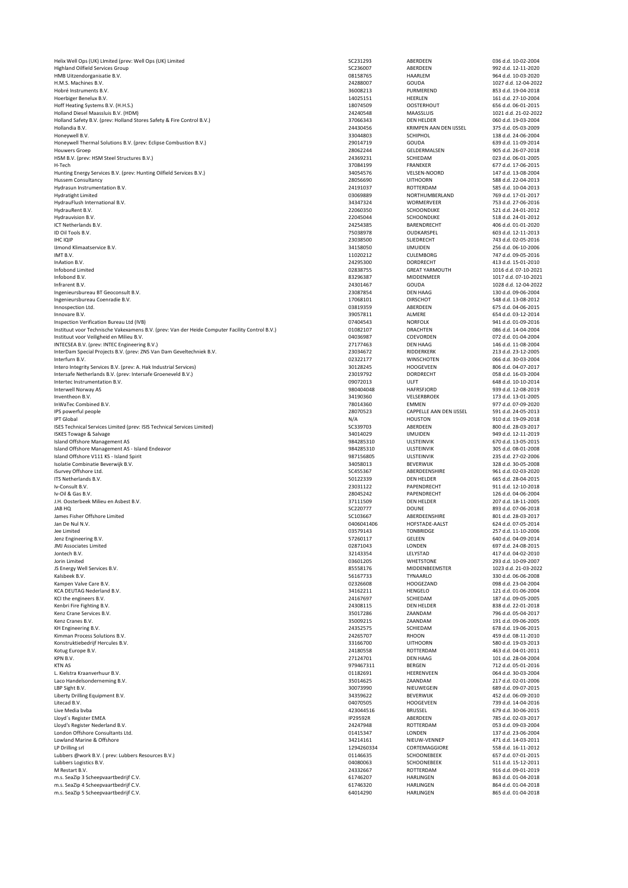| Helix Well Ops (UK) Limited (prev: Well Ops (UK) Limited                                       | SC231293             | ABERDEEN                             | 036 d.d. 10-02-2004                        |
|------------------------------------------------------------------------------------------------|----------------------|--------------------------------------|--------------------------------------------|
| <b>Highland Oilfield Services Group</b>                                                        | SC236007             | ABERDEEN                             | 992 d.d. 12-11-2020                        |
| HMB Uitzendorganisatie B.V.                                                                    | 08158765             | HAARLEM                              | 964 d.d. 10-03-2020                        |
| H.M.S. Machines B.V.                                                                           | 24288007             | <b>GOUDA</b>                         | 1027 d.d. 12-04-2022                       |
| Hobré Instruments B.V.                                                                         | 36008213             | PURMEREND                            | 853 d.d. 19-04-2018                        |
| Hoerbiger Benelux B.V.                                                                         | 14025151<br>18074509 | <b>HEERLEN</b><br><b>OOSTERHOUT</b>  | 161 d.d. 27-10-2004<br>656 d.d. 06-01-2015 |
| Hoff Heating Systems B.V. (H.H.S.)<br>Holland Diesel Maassluis B.V. (HDM)                      | 24240548             | <b>MAASSLUIS</b>                     | 1021 d.d. 21-02-2022                       |
| Holland Safety B.V. (prev: Holland Stores Safety & Fire Control B.V.)                          | 37066343             | <b>DEN HELDER</b>                    | 060 d.d. 19-03-2004                        |
| Hollandia B.V.                                                                                 | 24430456             | <b>KRIMPEN AAN DEN IJSSEL</b>        | 375 d.d. 05-03-2009                        |
| Honeywell B.V.                                                                                 | 33044803             | <b>SCHIPHOL</b>                      | 138 d.d. 24-06-2004                        |
| Honeywell Thermal Solutions B.V. (prev: Eclipse Combustion B.V.)                               | 29014719             | <b>GOUDA</b>                         | 639 d.d. 11-09-2014                        |
| <b>Houwers Groep</b>                                                                           | 28062244             | GELDERMALSEN                         | 905 d.d. 26-07-2018                        |
| HSM B.V. (prev: HSM Steel Structures B.V.)                                                     | 24369231             | SCHIEDAM                             | 023 d.d. 06-01-2005                        |
| H-Tech                                                                                         | 37084199             | <b>FRANEKER</b>                      | 677 d.d. 17-06-2015                        |
| Hunting Energy Services B.V. (prev: Hunting Oilfield Services B.V.)                            | 34054576             | <b>VELSEN-NOORD</b>                  | 147 d.d. 13-08-2004                        |
| <b>Hussem Consultancy</b>                                                                      | 28056690             | <b>UITHOORN</b>                      | 588 d.d. 22-04-2013                        |
| Hydrasun Instrumentation B.V.                                                                  | 24191037             | ROTTERDAM                            | 585 d.d. 10-04-2013                        |
| <b>Hydratight Limited</b>                                                                      | 03069889             | NORTHUMBERLAND                       | 769 d.d. 17-01-2017                        |
| HydrauFlush International B.V.                                                                 | 34347324             | <b>WORMERVEER</b>                    | 753 d.d. 27-06-2016                        |
| HydrauRent B.V.                                                                                | 22060350             | <b>SCHOONDIJKE</b>                   | 521 d.d. 24-01-2012                        |
| Hydrauvision B.V.                                                                              | 22045044             | SCHOONDIJKE                          | 518 d.d. 24-01-2012                        |
| ICT Netherlands B.V.                                                                           | 24254385             | <b>BARENDRECHT</b>                   | 406 d.d. 01-01-2020                        |
| ID Oil Tools B.V.                                                                              | 75038978             | OUDKARSPEL                           | 603 d.d. 12-11-2013                        |
| <b>IHC IQIP</b>                                                                                | 23038500             | <b>SLIEDRECHT</b>                    | 743 d.d. 02-05-2016                        |
| IJmond Klimaatservice B.V.                                                                     | 34158050             | <b>IJMUIDEN</b>                      | 256 d.d. 06-10-2006                        |
| IMT B.V.                                                                                       | 11020212             | <b>CULEMBORG</b>                     | 747 d.d. 09-05-2016                        |
| InAxtion B.V.                                                                                  | 24295300             | <b>DORDRECHT</b>                     | 413 d.d. 15-01-2010                        |
| Infobond Limited                                                                               | 02838755             | <b>GREAT YARMOUTH</b>                | 1016 d.d. 07-10-2021                       |
| Infobond B.V.                                                                                  | 83296387             | <b>MIDDENMEER</b>                    | 1017 d.d. 07-10-2021                       |
| Infrarent B.V.                                                                                 | 24301467             | <b>GOUDA</b>                         | 1028 d.d. 12-04-2022                       |
| Ingenieursbureau BT Geoconsult B.V.                                                            | 23087854             | <b>DEN HAAG</b>                      | 130 d.d. 09-06-2004                        |
| Ingenieursbureau Coenradie B.V.                                                                | 17068101             | <b>OIRSCHOT</b>                      | 548 d.d. 13-08-2012                        |
| Innospection Ltd.                                                                              | 03819359             | ABERDEEN                             | 675 d.d. 04-06-2015                        |
| Innovare B.V.                                                                                  | 39057811             | <b>ALMERE</b>                        | 654 d.d. 03-12-2014                        |
| Inspection Verification Bureau Ltd (IVB)                                                       | 07404543<br>01082107 | <b>NORFOLK</b><br><b>DRACHTEN</b>    | 941 d.d. 01-09-2016<br>086 d.d. 14-04-2004 |
| Instituut voor Technische Vakexamens B.V. (prev: Van der Heide Computer Facility Control B.V.) |                      |                                      |                                            |
| Instituut voor Veiligheid en Milieu B.V.                                                       | 04036987             | <b>COEVORDEN</b>                     | 072 d.d. 01-04-2004                        |
| INTECSEA B.V. (prev: INTEC Engineering B.V.)                                                   | 27177463<br>23034672 | <b>DEN HAAG</b><br>RIDDERKERK        | 146 d.d. 11-08-2004<br>213 d.d. 23-12-2005 |
| InterDam Special Projects B.V. (prev: ZNS Van Dam Geveltechniek B.V.<br>Interfurn B.V.         | 02322177             | <b>WINSCHOTEN</b>                    | 066 d.d. 30-03-2004                        |
| Intero Integrity Services B.V. (prev: A. Hak Industrial Services)                              | 30128245             | <b>HOOGEVEEN</b>                     | 806 d.d. 04-07-2017                        |
| Intersafe Netherlands B.V. (prev: Intersafe Groeneveld B.V.)                                   | 23019792             | <b>DORDRECHT</b>                     | 058 d.d. 16-03-2004                        |
| Intertec Instrumentation B.V.                                                                  | 09072013             | <b>ULFT</b>                          | 648 d.d. 10-10-2014                        |
| Interwell Norway AS                                                                            | 980404048            | HAFRSFJORD                           | 939 d.d. 12-08-2019                        |
| Inventheon B.V.                                                                                | 34190360             | <b>VELSERBROEK</b>                   | 173 d.d. 13-01-2005                        |
| InWaTec Combined B.V.                                                                          | 78014360             | <b>EMMEN</b>                         | 977 d.d. 07-09-2020                        |
| IPS powerful people                                                                            | 28070523             | CAPPELLE AAN DEN IJSSEL              | 591 d.d. 24-05-2013                        |
| <b>IPT Global</b>                                                                              | N/A                  | <b>HOUSTON</b>                       | 910 d.d. 19-09-2018                        |
| ISES Technical Services Limited (prev: ISIS Technical Services Limited)                        | SC339703             | ABERDEEN                             | 800 d.d. 28-03-2017                        |
| <b>ISKES Towage &amp; Salvage</b>                                                              | 34014029             | <b>IJMUIDEN</b>                      | 949 d.d. 12-11-2019                        |
| Island Offshore Management AS                                                                  | 984285310            | <b>ULSTEINVIK</b>                    | 670 d.d. 13-05-2015                        |
| Island Offshore Management AS - Island Endeavor                                                | 984285310            | <b>ULSTEINVIK</b>                    | 305 d.d. 08-01-2008                        |
| Island Offshore V111 KS - Island Spirit                                                        | 987156805            | <b>ULSTEINVIK</b>                    | 235 d.d. 27-02-2006                        |
| Isolatie Combinatie Beverwijk B.V.                                                             | 34058013             | <b>BEVERWIJK</b>                     | 328 d.d. 30-05-2008                        |
| iSurvey Offshore Ltd.                                                                          | SC455367             | ABERDEENSHIRE                        | 961 d.d. 02-03-2020                        |
| ITS Netherlands B.V.                                                                           | 50122339             | <b>DEN HELDER</b>                    | 665 d.d. 28-04-2015                        |
| Iv-Consult B.V.                                                                                | 23031122             | PAPENDRECHT                          | 911 d.d. 12-10-2018                        |
| Iv-Oil & Gas B.V.                                                                              | 28045242             | PAPENDRECHT                          | 126 d.d. 04-06-2004                        |
| J.H. Oosterbeek Milieu en Asbest B.V.                                                          | 37111509             | <b>DEN HELDER</b>                    | 207 d.d. 18-11-2005                        |
| <b>JAB HQ</b>                                                                                  | SC220777             | <b>DOUNE</b>                         | 893 d.d. 07-06-2018                        |
| James Fisher Offshore Limited                                                                  | SC103667             | ABERDEENSHIRE                        | 801 d.d. 28-03-2017                        |
| Jan De Nul N.V.                                                                                | 0406041406           | HOFSTADE-AALST                       | 624 d.d. 07-05-2014                        |
| Jee Limited                                                                                    | 03579143             | <b>TONBRIDGE</b>                     | 257 d.d. 11-10-2006                        |
| Jenz Engineering B.V.                                                                          | 57260117             | <b>GELEEN</b>                        | 640 d.d. 04-09-2014                        |
| <b>JMJ Associates Limited</b>                                                                  | 02871043             | <b>LONDEN</b>                        | 697 d.d. 24-08-2015                        |
| Jontech B.V.<br>Jorin Limited                                                                  | 32143354<br>03601205 | LELYSTAD<br><b>WHETSTONE</b>         | 417 d.d. 04-02-2010<br>293 d.d. 10-09-2007 |
|                                                                                                | 85558176             | MIDDENBEEMSTER                       | 1023 d.d. 21-03-2022                       |
| JS Energy Well Services B.V.<br>Kalsbeek B.V.                                                  | 56167733             | <b>TYNAARLO</b>                      | 330 d.d. 06-06-2008                        |
| Kampen Valve Care B.V.                                                                         | 02326608             | <b>HOOGEZAND</b>                     | 098 d.d. 23-04-2004                        |
| KCA DEUTAG Nederland B.V.                                                                      | 34162211             | <b>HENGELO</b>                       | 121 d.d. 01-06-2004                        |
| KCI the engineers B.V.                                                                         | 24167697             | SCHIEDAM                             | 187 d.d. 09-05-2005                        |
| Kenbri Fire Fighting B.V.                                                                      | 24308115             | <b>DEN HELDER</b>                    | 838 d.d. 22-01-2018                        |
| Kenz Crane Services B.V.                                                                       | 35017286             | ZAANDAM                              | 796 d.d. 05-04-2017                        |
| Kenz Cranes B.V.                                                                               | 35009215             | ZAANDAM                              | 191 d.d. 09-06-2005                        |
| KH Engineering B.V.                                                                            | 24352575             | SCHIEDAM                             | 678 d.d. 19-06-2015                        |
| Kimman Process Solutions B.V.                                                                  | 24265707             | <b>RHOON</b>                         | 459 d.d. 08-11-2010                        |
| Konstruktiebedrijf Hercules B.V.                                                               | 33166700             | <b>UITHOORN</b>                      | 580 d.d. 19-03-2013                        |
| Kotug Europe B.V.                                                                              | 24180558             | ROTTERDAM                            | 463 d.d. 04-01-2011                        |
| KPN B.V.                                                                                       | 27124701             | <b>DEN HAAG</b>                      | 101 d.d. 28-04-2004                        |
| <b>KTN AS</b>                                                                                  | 979467311            | <b>BERGEN</b>                        | 712 d.d. 05-01-2016                        |
| L. Kielstra Kraanverhuur B.V.                                                                  | 01182691             | HEERENVEEN                           | 064 d.d. 30-03-2004                        |
| Laco Handelsonderneming B.V.                                                                   | 35014625             | ZAANDAM                              | 217 d.d. 02-01-2006                        |
| LBP Sight B.V.                                                                                 | 30073990             | NIEUWEGEIN                           | 689 d.d. 09-07-2015                        |
| Liberty Drilling Equipment B.V.                                                                | 34359622             | <b>BEVERWIJK</b>                     | 452 d.d. 06-09-2010                        |
| Litecad B.V.                                                                                   | 04070505             | <b>HOOGEVEEN</b>                     | 739 d.d. 14-04-2016                        |
| Live Media bvba                                                                                | 423044516            | <b>BRUSSEL</b>                       | 679 d.d. 30-06-2015                        |
| Lloyd's Register EMEA                                                                          | IP29592R             | ABERDEEN                             | 785 d.d. 02-03-2017                        |
| Lloyd's Register Nederland B.V.                                                                | 24247948             | ROTTERDAM                            | 053 d.d. 09-03-2004                        |
| London Offshore Consultants Ltd.                                                               | 01415347             | <b>LONDEN</b>                        | 137 d.d. 23-06-2004                        |
| Lowland Marine & Offshore                                                                      | 34214161             | NIEUW-VENNEP                         | 471 d.d. 14-03-2011                        |
| LP Drilling srl                                                                                | 1294260334           | CORTEMAGGIORE                        | 558 d.d. 16-11-2012                        |
| Lubbers @work B.V. (prev: Lubbers Resources B.V.)                                              | 01146635<br>04080063 | SCHOONEBEEK<br>SCHOONEBEEK           | 657 d.d. 07-01-2015<br>511 d.d. 15-12-2011 |
| Lubbers Logistics B.V.<br>M Restart B.V.                                                       |                      |                                      |                                            |
|                                                                                                |                      |                                      |                                            |
|                                                                                                | 24332667             | ROTTERDAM                            | 916 d.d. 09-01-2019                        |
| m.s. SeaZip 3 Scheepvaartbedrijf C.V.<br>m.s. SeaZip 4 Scheepvaartbedrijf C.V.                 | 61746207<br>61746320 | <b>HARLINGEN</b><br><b>HARLINGEN</b> | 863 d.d. 01-04-2018<br>864 d.d. 01-04-2018 |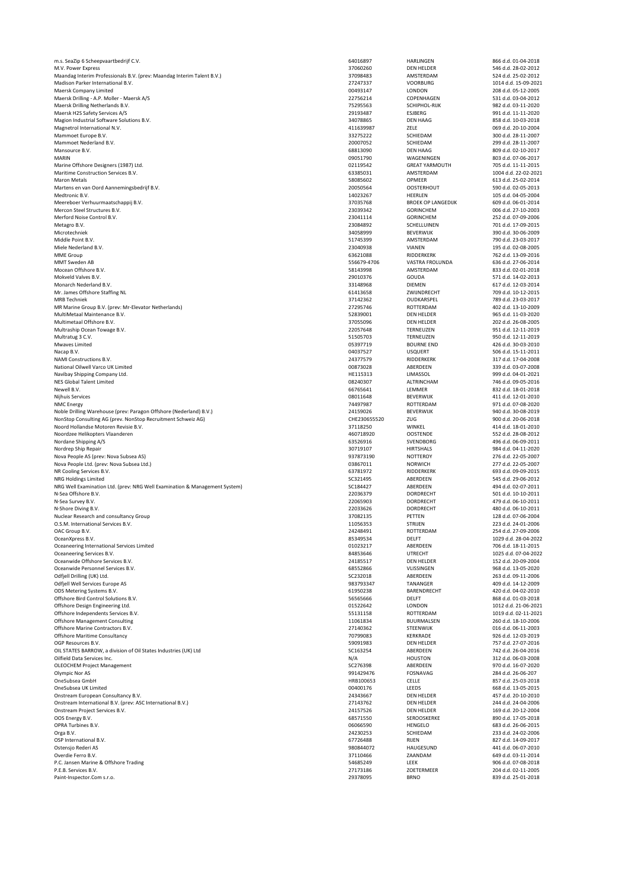| m.s. SeaZip 6 Scheepvaartbedrijf C.V.                                      | 64016897     | <b>HARLINGEN</b>          | 866 d.d. 01-04-2018  |
|----------------------------------------------------------------------------|--------------|---------------------------|----------------------|
| M.V. Power Express                                                         | 37060260     | <b>DEN HELDER</b>         | 546 d.d. 28-02-2012  |
| Maandag Interim Professionals B.V. (prev: Maandag Interim Talent B.V.)     | 37098483     | AMSTERDAM                 | 524 d.d. 25-02-2012  |
| Madison Parker International B.V.                                          | 27247337     | <b>VOORBURG</b>           | 1014 d.d. 15-09-2021 |
| <b>Maersk Company Limited</b>                                              | 00493147     | <b>LONDON</b>             | 208 d.d. 05-12-2005  |
| Maersk Drilling - A.P. Moller - Maersk A/S                                 | 22756214     | COPENHAGEN                | 531 d.d. 03-04-2012  |
|                                                                            |              |                           |                      |
| Maersk Drilling Netherlands B.V.                                           | 75295563     | SCHIPHOL-RIJK             | 982 d.d. 03-11-2020  |
| Maersk H2S Safety Services A/S                                             | 29193487     | <b>ESJBERG</b>            | 991 d.d. 11-11-2020  |
| Magion Industrial Software Solutions B.V.                                  | 34078865     | <b>DEN HAAG</b>           | 858 d.d. 10-03-2018  |
| Magnetrol International N.V.                                               | 411639987    | ZELE                      | 069 d.d. 20-10-2004  |
| Mammoet Europe B.V.                                                        | 33275222     | SCHIEDAM                  | 300 d.d. 28-11-2007  |
| Mammoet Nederland B.V.                                                     | 20007052     | SCHIEDAM                  | 299 d.d. 28-11-2007  |
| Mansource B.V.                                                             | 68813090     | <b>DEN HAAG</b>           | 809 d.d. 02-10-2017  |
|                                                                            |              |                           |                      |
| <b>MARIN</b>                                                               | 09051790     | WAGENINGEN                | 803 d.d. 07-06-2017  |
| Marine Offshore Designers (1987) Ltd.                                      | 02119542     | <b>GREAT YARMOUTH</b>     | 705 d.d. 11-11-2015  |
| Maritime Construction Services B.V.                                        | 63385031     | AMSTERDAM                 | 1004 d.d. 22-02-2021 |
| <b>Maron Metals</b>                                                        | 58085602     | <b>OPMEER</b>             | 613 d.d. 25-02-2014  |
| Martens en van Oord Aannemingsbedrijf B.V.                                 | 20050564     | <b>OOSTERHOUT</b>         | 590 d.d. 02-05-2013  |
| Medtronic B.V.                                                             | 14023267     | <b>HEERLEN</b>            | 105 d.d. 04-05-2004  |
| Meereboer Verhuurmaatschappij B.V.                                         | 37035768     | <b>BROEK OP LANGEDIJK</b> | 609 d.d. 06-01-2014  |
| Mercon Steel Structures B.V.                                               | 23039342     | <b>GORINCHEM</b>          | 006 d.d. 27-10-2003  |
|                                                                            |              |                           |                      |
| Merford Noise Control B.V.                                                 | 23041114     | <b>GORINCHEM</b>          | 252 d.d. 07-09-2006  |
| Metagro B.V.                                                               | 23084892     | SCHELLUINEN               | 701 d.d. 17-09-2015  |
| Microtechniek                                                              | 34058999     | <b>BEVERWIJK</b>          | 390 d.d. 30-06-2009  |
| Middle Point B.V.                                                          | 51745399     | AMSTERDAM                 | 790 d.d. 23-03-2017  |
| Miele Nederland B.V.                                                       | 23040938     | <b>VIANEN</b>             | 195 d.d. 02-08-2005  |
| <b>MME Group</b>                                                           | 63621088     | RIDDERKERK                | 762 d.d. 13-09-2016  |
| <b>MMT Sweden AB</b>                                                       | 556679-4706  | <b>VASTRA FROLUNDA</b>    | 636 d.d. 27-06-2014  |
|                                                                            |              |                           |                      |
| Mocean Offshore B.V.                                                       | 58143998     | AMSTERDAM                 | 833 d.d. 02-01-2018  |
| Mokveld Valves B.V.                                                        | 29010376     | <b>GOUDA</b>              | 571 d.d. 14-02-2013  |
| Monarch Nederland B.V.                                                     | 33148968     | <b>DIEMEN</b>             | 617 d.d. 12-03-2014  |
| Mr. James Offshore Staffing NL                                             | 61413658     | ZWIJNDRECHT               | 709 d.d. 10-12-2015  |
| <b>MRB Techniek</b>                                                        | 37142362     | OUDKARSPEL                | 789 d.d. 23-03-2017  |
| MR Marine Group B.V. (prev: Mr-Elevator Netherlands)                       | 27295746     | ROTTERDAM                 | 402 d.d. 13-10-2009  |
| MultiMetaal Maintenance B.V.                                               | 52839001     | <b>DEN HELDER</b>         | 965 d.d. 11-03-2020  |
|                                                                            |              |                           |                      |
| Multimetaal Offshore B.V.                                                  | 37055096     | <b>DEN HELDER</b>         | 202 d.d. 26-08-2005  |
| Multraship Ocean Towage B.V.                                               | 22057648     | TERNEUZEN                 | 951 d.d. 12-11-2019  |
| Multratug 3 C.V.                                                           | 51505703     | <b>TERNEUZEN</b>          | 950 d.d. 12-11-2019  |
| <b>Mwaves Limited</b>                                                      | 05397719     | <b>BOURNE END</b>         | 426 d.d. 30-03-2010  |
| Nacap B.V.                                                                 | 04037527     | <b>USQUERT</b>            | 506 d.d. 15-11-2011  |
| <b>NAMI Constructions B.V.</b>                                             | 24377579     | RIDDERKERK                | 317 d.d. 17-04-2008  |
|                                                                            |              |                           |                      |
| National Oilwell Varco UK Limited                                          | 00873028     | ABERDEEN                  | 339 d.d. 03-07-2008  |
| Navibay Shipping Company Ltd.                                              | HE115313     | <b>LIMASSOL</b>           | 999 d.d. 04-01-2021  |
| NES Global Talent Limited                                                  | 08240307     | ALTRINCHAM                | 746 d.d. 09-05-2016  |
| Newell B.V.                                                                | 66765641     | LEMMER                    | 832 d.d. 18-01-2018  |
| <b>Nijhuis Services</b>                                                    | 08011648     | <b>BEVERWIJK</b>          | 411 d.d. 12-01-2010  |
| <b>NMC Energy</b>                                                          | 74497987     | ROTTERDAM                 | 971 d.d. 07-08-2020  |
|                                                                            |              |                           |                      |
|                                                                            |              |                           |                      |
| Noble Drilling Warehouse (prev: Paragon Offshore (Nederland) B.V.)         | 24159026     | <b>BEVERWIJK</b>          | 940 d.d. 30-08-2019  |
| NonStop Consulting AG (prev. NonStop Recruitment Schweiz AG)               | CHE230655520 | ZUG                       | 900 d.d. 20-06-2018  |
| Noord Hollandse Motoren Revisie B.V.                                       | 37118250     | WINKEL                    | 414 d.d. 18-01-2010  |
| Noordzee Helikopters Vlaanderen                                            | 460718920    | <b>OOSTENDE</b>           | 552 d.d. 28-08-2012  |
|                                                                            | 63526916     | <b>SVENDBORG</b>          | 496 d.d. 06-09-2011  |
| Nordane Shipping A/S                                                       |              |                           |                      |
| Nordrep Ship Repair                                                        | 30719107     | <b>HIRTSHALS</b>          | 984 d.d. 04-11-2020  |
| Nova People AS (prev: Nova Subsea AS)                                      | 937873190    | <b>NOTTEROY</b>           | 276 d.d. 22-05-2007  |
| Nova People Ltd. (prev: Nova Subsea Ltd.)                                  | 03867011     | <b>NORWICH</b>            | 277 d.d. 22-05-2007  |
| NR Cooling Services B.V.                                                   | 63781972     | RIDDERKERK                | 693 d.d. 09-09-2015  |
| <b>NRG Holdings Limited</b>                                                | SC321495     | ABERDEEN                  | 545 d.d. 29-06-2012  |
| NRG Well Examination Ltd. (prev: NRG Well Examination & Management System) | SC184427     | ABERDEEN                  | 494 d.d. 02-07-2011  |
| N-Sea Offshore B.V.                                                        | 22036379     | <b>DORDRECHT</b>          | 501 d.d. 10-10-2011  |
|                                                                            |              |                           |                      |
| N-Sea Survey B.V.                                                          | 22065903     | <b>DORDRECHT</b>          | 479 d.d. 06-10-2011  |
| N-Shore Diving B.V.                                                        | 22033626     | <b>DORDRECHT</b>          | 480 d.d. 06-10-2011  |
| Nuclear Research and consultancy Group                                     | 37082135     | <b>PETTEN</b>             | 128 d.d. 07-06-2004  |
| O.S.M. International Services B.V.                                         | 11056353     | <b>STRIJEN</b>            | 223 d.d. 24-01-2006  |
| OAC Group B.V.                                                             | 24248491     | ROTTERDAM                 | 254 d.d. 27-09-2006  |
| OceanXpress B.V.                                                           | 85349534     | <b>DELFT</b>              | 1029 d.d. 28-04-2022 |
| Oceaneering International Services Limited                                 | 01023217     | ABERDEEN                  | 706 d.d. 18-11-2015  |
| Oceaneering Services B.V.                                                  | 84853646     | <b>UTRECHT</b>            | 1025 d.d. 07-04-2022 |
| Oceanwide Offshore Services B.V.                                           | 24185517     | <b>DEN HELDER</b>         | 152 d.d. 20-09-2004  |
|                                                                            |              |                           |                      |
| Oceanwide Personnel Services B.V.                                          | 68552866     | VLISSINGEN                | 968 d.d. 13-05-2020  |
| Odfjell Drilling (UK) Ltd.                                                 | SC232018     | ABERDEEN                  | 263 d.d. 09-11-2006  |
| Odfjell Well Services Europe AS                                            | 983793347    | <b>TANANGER</b>           | 409 d.d. 14-12-2009  |
| ODS Metering Systems B.V.                                                  | 61950238     | <b>BARENDRECHT</b>        | 420 d.d. 04-02-2010  |
| Offshore Bird Control Solutions B.V.                                       | 56565666     | <b>DELFT</b>              | 868 d.d. 01-03-2018  |
| Offshore Design Engineering Ltd.                                           | 01522642     | <b>LONDON</b>             | 1012 d.d. 21-06-2021 |
| Offshore Independents Services B.V.                                        | 55131158     | ROTTERDAM                 | 1019 d.d. 02-11-2021 |
|                                                                            | 11061834     | <b>BUURMALSEN</b>         | 260 d.d. 18-10-2006  |
| <b>Offshore Management Consulting</b>                                      |              |                           |                      |
| Offshore Marine Contractors B.V.                                           | 27140362     | STEENWIJK                 | 016 d.d. 06-11-2003  |
| <b>Offshore Maritime Consultancy</b>                                       | 70799083     | <b>KERKRADE</b>           | 926 d.d. 12-03-2019  |
| OGP Resources B.V.                                                         | 59091983     | <b>DEN HELDER</b>         | 757 d.d. 27-07-2016  |
| OIL STATES BARROW, a division of Oil States Industries (UK) Ltd            | SC163254     | ABERDEEN                  | 742 d.d. 26-04-2016  |
| Oilfield Data Services Inc.                                                | N/A          | <b>HOUSTON</b>            | 312 d.d. 06-03-2008  |
| <b>OLEOCHEM Project Management</b>                                         | SC276398     | ABERDEEN                  | 970 d.d. 16-07-2020  |
| <b>Olympic Nor AS</b>                                                      | 991429476    | <b>FOSNAVAG</b>           | 284 d.d. 26-06-207   |
|                                                                            |              |                           |                      |
| OneSubsea GmbH                                                             | HRB100653    | <b>CELLE</b>              | 857 d.d. 25-03-2018  |
| OneSubsea UK Limited                                                       | 00400176     | <b>LEEDS</b>              | 668 d.d. 13-05-2015  |
| Onstream European Consultancy B.V.                                         | 24343667     | <b>DEN HELDER</b>         | 457 d.d. 20-10-2010  |
| Onstream International B.V. (prev: ASC International B.V.)                 | 27143762     | <b>DEN HELDER</b>         | 244 d.d. 24-04-2006  |
| Onstream Project Services B.V.                                             | 24157526     | <b>DEN HELDER</b>         | 169 d.d. 20-12-2004  |
| OOS Energy B.V.                                                            | 68571550     | <b>SEROOSKERKE</b>        | 890 d.d. 17-05-2018  |
| OPRA Turbines B.V.                                                         | 06066590     | <b>HENGELO</b>            | 683 d.d. 26-06-2015  |
|                                                                            |              |                           |                      |
| Orga B.V.                                                                  | 24230253     | SCHIEDAM                  | 233 d.d. 24-02-2006  |
| OSP International B.V.                                                     | 67726488     | <b>RIJEN</b>              | 827 d.d. 14-09-2017  |
| Ostensjo Rederi AS                                                         | 980844072    | HAUGESUND                 | 441 d.d. 06-07-2010  |
| Overdie Ferro B.V.                                                         | 37110466     | ZAANDAM                   | 649 d.d. 03-11-2014  |
| P.C. Jansen Marine & Offshore Trading                                      | 54685249     | LEEK                      | 906 d.d. 07-08-2018  |
| P.E.B. Services B.V.                                                       | 27173186     | ZOETERMEER                | 204 d.d. 02-11-2005  |
| Paint-Inspector.Com s.r.o.                                                 | 29378095     | <b>BRNO</b>               | 839 d.d. 25-01-2018  |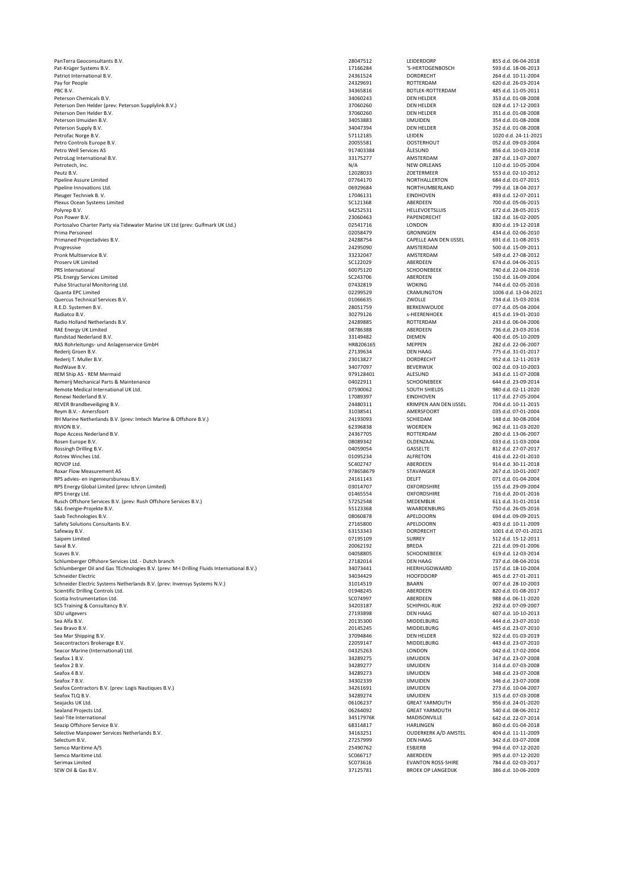| PanTerra Geoconsultants B.V.                                                              |                      |                               | 855 d.d. 06-04-201                       |
|-------------------------------------------------------------------------------------------|----------------------|-------------------------------|------------------------------------------|
|                                                                                           | 28047512             | <b>LEIDERDORP</b>             |                                          |
| Pat-Krüger Systems B.V.                                                                   | 17166284             | 'S-HERTOGENBOSCH              | 593 d.d. 18-06-201                       |
| Patriot International B.V.                                                                | 24361524             | <b>DORDRECHT</b>              | 264 d.d. 10-11-200                       |
| Pay for People                                                                            | 24329691             | ROTTERDAM                     | 620 d.d. 26-03-201                       |
|                                                                                           |                      |                               |                                          |
| PBC B.V.                                                                                  | 34365816             | BOTLEK-ROTTERDAM              | 485 d.d. 11-05-201                       |
| Peterson Chemicals B.V.                                                                   | 34060243             | <b>DEN HELDER</b>             | 353 d.d. 01-08-200                       |
| Peterson Den Helder (prev: Peterson Supplylink B.V.)                                      | 37060260             | <b>DEN HELDER</b>             | 028 d.d. 17-12-200.                      |
| Peterson Den Helder B.V.                                                                  | 37060260             | <b>DEN HELDER</b>             | 351 d.d. 01-08-200                       |
|                                                                                           |                      |                               |                                          |
| Peterson IJmuiden B.V.                                                                    | 34053883             | <b>IJMUIDEN</b>               | 354 d.d. 01-08-200                       |
| Peterson Supply B.V.                                                                      | 34047394             | DEN HELDER                    | 352 d.d. 01-08-200                       |
| Petrofac Norge B.V.                                                                       | 57112185             | LEIDEN                        | 1020 d.d. 24-11-20.                      |
|                                                                                           |                      |                               |                                          |
| Petro Controls Europe B.V.                                                                | 20055581             | <b>OOSTERHOUT</b>             | 052 d.d. 09-03-200                       |
| Petro Well Services AS                                                                    | 917403384            | ÅLESUND                       | 856 d.d. 10-03-201                       |
| PetroLog International B.V.                                                               | 33175277             | AMSTERDAM                     | 287 d.d. 13-07-200                       |
|                                                                                           |                      |                               |                                          |
| Petrotech, Inc.                                                                           | N/A                  | <b>NEW ORLEANS</b>            | 110 d.d. 10-05-200                       |
| Peutz B.V.                                                                                | 12028033             | ZOETERMEER                    | 553 d.d. 02-10-201.                      |
| Pipeline Assure Limited                                                                   | 07764170             | NORTHALLERTON                 | 684 d.d. 01-07-201                       |
| Pipeline Innovations Ltd.                                                                 | 06929684             | NORTHUMBERLAND                | 799 d.d. 18-04-201                       |
|                                                                                           |                      |                               |                                          |
| Pleuger Techniek B.V.                                                                     | 17046131             | <b>EINDHOVEN</b>              | 493 d.d. 12-07-201                       |
| Plexus Ocean Systems Limited                                                              | SC121368             | ABERDEEN                      | 700 d.d. 05-06-201                       |
| Polyrep B.V.                                                                              | 64252531             | <b>HELLEVOETSLUIS</b>         | 672 d.d. 28-05-201                       |
| Pon Power B.V.                                                                            | 23060463             | PAPENDRECHT                   |                                          |
|                                                                                           |                      |                               | 182 d.d. 16-02-200                       |
| Portosalvo Charter Party via Tidewater Marine UK Ltd (prev: Gulfmark UK Ltd.)             | 02541716             | <b>LONDON</b>                 | 830 d.d. 19-12-201                       |
| Prima Personeel                                                                           | 02058479             | <b>GRONINGEN</b>              | 434 d.d. 02-06-201                       |
| Primaned Projectadvies B.V.                                                               | 24288754             | CAPELLE AAN DEN IJSSEL        | 691 d.d. 11-08-201                       |
|                                                                                           |                      |                               |                                          |
| Progressive                                                                               | 24295090             | AMSTERDAM                     | 500 d.d. 15-09-201                       |
| Pronk Multiservice B.V.                                                                   | 33232047             | AMSTERDAM                     | 549 d.d. 27-08-201.                      |
| <b>Proserv UK Limited</b>                                                                 | SC122029             | ABERDEEN                      | 674 d.d. 04-06-201                       |
|                                                                                           |                      |                               |                                          |
| PRS International                                                                         | 60075120             | <b>SCHOONEBEEK</b>            | 740 d.d. 22-04-201                       |
| PSL Energy Services Limited                                                               | SC243706             | ABERDEEN                      | 150 d.d. 16-09-200                       |
| Pulse Structural Monitoring Ltd.                                                          | 07432819             | <b>WOKING</b>                 | 744 d.d. 02-05-201                       |
| Quanta EPC Limited                                                                        | 02299529             | CRAMLINGTON                   | 1006 d.d. 13-04-20.                      |
|                                                                                           |                      |                               |                                          |
| Quercus Technical Services B.V.                                                           | 01066635             | ZWOLLE                        | 734 d.d. 15-03-201                       |
| R.E.D. Systemen B.V.                                                                      | 28051759             | <b>BERKENWOUDE</b>            | 077 d.d. 05-04-200                       |
| Radiatco B.V.                                                                             | 30279126             | s-HEERENHOEK                  | 415 d.d. 19-01-201                       |
|                                                                                           |                      |                               |                                          |
| Radio Holland Netherlands B.V.                                                            | 24289885             | ROTTERDAM                     | 243 d.d. 06-04-200                       |
| RAE Energy UK Limited                                                                     | 08786388             | ABERDEEN                      | 736 d.d. 23-03-201                       |
| Randstad Nederland B.V.                                                                   | 33149482             | <b>DIEMEN</b>                 | 400 d.d. 05-10-200                       |
|                                                                                           |                      |                               |                                          |
| RAS Rohrleitungs- und Anlagenservice GmbH                                                 | HRB206165            | <b>MEPPEN</b>                 | 282 d.d. 22-06-200                       |
| Rederij Groen B.V.                                                                        | 27139634             | <b>DEN HAAG</b>               | 775 d.d. 31-01-201                       |
| Rederij T. Muller B.V.                                                                    | 23013827             | <b>DORDRECHT</b>              | 952 d.d. 12-11-2019                      |
| RedWave B.V.                                                                              | 34077097             | <b>BEVERWIJK</b>              | 002 d.d. 03-10-200.                      |
|                                                                                           |                      |                               |                                          |
| REM Ship AS - REM Mermaid                                                                 | 979128401            | ALESUND                       | 343 d.d. 11-07-200                       |
| Remerij Mechanical Parts & Maintenance                                                    | 04022911             | <b>SCHOONEBEEK</b>            | 644 d.d. 23-09-201                       |
| Remote Medical International UK Ltd.                                                      | 07590062             | <b>SOUTH SHIELDS</b>          | 980 d.d. 02-11-202                       |
|                                                                                           |                      |                               |                                          |
| Renewi Nederland B.V.                                                                     | 17089397             | <b>EINDHOVEN</b>              | 117 d.d. 27-05-200                       |
| REVER Brandbeveiliging B.V.                                                               | 24480311             | <b>KRIMPEN AAN DEN IJSSEL</b> | 704 d.d. 10-11-201                       |
| Reym B.V. - Amersfoort                                                                    | 31038541             | AMERSFOORT                    | 035 d.d. 07-01-200                       |
| RH Marine Netherlands B.V. (prev: Imtech Marine & Offshore B.V.)                          | 24193093             | SCHIEDAM                      | 148 d.d. 30-08-200                       |
|                                                                                           |                      |                               |                                          |
| RIVION B.V.                                                                               | 62396838             | <b>WOERDEN</b>                | 962 d.d. 11-03-202                       |
| Rope Access Nederland B.V.                                                                | 24367705             | ROTTERDAM                     | 280 d.d. 13-06-200                       |
| Rosen Europe B.V.                                                                         | 08089342             | OLDENZAAL                     | 033 d.d. 11-03-200                       |
|                                                                                           |                      |                               |                                          |
| Rossingh Drilling B.V.                                                                    | 04059054             | GASSELTE                      | 812 d.d. 27-07-201                       |
| Rotrex Winches Ltd.                                                                       | 01095234             | <b>ALFRETON</b>               | 416 d.d. 22-01-201                       |
| ROVOP Ltd.                                                                                | SC402747             | ABERDEEN                      | 914 d.d. 30-11-201                       |
| <b>Roxar Flow Measurement AS</b>                                                          | 978658679            | <b>STAVANGER</b>              | 267 d.d. 10-01-200                       |
|                                                                                           |                      |                               |                                          |
|                                                                                           | 24161143             | <b>DELFT</b>                  | 071 d.d. 01-04-200                       |
| RPS advies- en ingenieursbureau B.V.                                                      | 03014707             | <b>OXFORDSHIRE</b>            | 155 d.d. 29-09-200                       |
| RPS Energy Global Limited (prev: Ichron Limited)                                          |                      | <b>OXFORDSHIRE</b>            |                                          |
|                                                                                           |                      |                               |                                          |
| RPS Energy Ltd.                                                                           | 01465554             |                               | 716 d.d. 20-01-201                       |
| Rusch Offshore Services B.V. (prev: Rush Offshore Services B.V.)                          | 57252548             | MEDEMBLIK                     | 611 d.d. 31-01-201                       |
| S&L Energie-Projekte B.V.                                                                 | 55123368             | WAARDENBURG                   | 750 d.d. 26-05-201                       |
|                                                                                           | 08060878             | APELDOORN                     |                                          |
| Saab Technologies B.V.                                                                    |                      |                               | 694 d.d. 09-09-201                       |
| Safety Solutions Consultants B.V.                                                         | 27165800             | APELDOORN                     | 403 d.d. 10-11-200                       |
| Safeway B.V.                                                                              | 63153343             | <b>DORDRECHT</b>              | 1001 d.d. 07-01-20.                      |
| Saipem Limited                                                                            | 07195109             | <b>SURREY</b>                 | 512 d.d. 15-12-201                       |
| Saval B.V.                                                                                | 20062192             | <b>BREDA</b>                  | 221 d.d. 09-01-200                       |
|                                                                                           |                      |                               |                                          |
| Scaves B.V.                                                                               | 04058805             | <b>SCHOONEBEEK</b>            | 619 d.d. 12-03-201                       |
| Schlumberger Offshore Services Ltd. - Dutch branch                                        | 27182014             | <b>DEN HAAG</b>               | 737 d.d. 08-04-201                       |
| Schlumberger Oil and Gas TEchnologies B.V. (prev: M-I Drilling Fluids International B.V.) | 34073441             | HEERHUGOWAARD                 | 157 d.d. 18-10-200                       |
| Schneider Electric                                                                        | 34034429             | <b>HOOFDDORP</b>              | 465 d.d. 27-01-201                       |
|                                                                                           |                      |                               |                                          |
| Schneider Electric Systems Netherlands B.V. (prev: Invensys Systems N.V.)                 | 31014519             | <b>BAARN</b>                  | 007 d.d. 28-10-200.                      |
| Scientific Drilling Controls Ltd.                                                         | 01948245             | ABERDEEN                      | 820 d.d. 01-08-201                       |
|                                                                                           |                      |                               |                                          |
| Scotia Instrumentation Ltd.                                                               | SC074997             | ABERDEEN                      | 988 d.d. 06-11-202                       |
| SCS Training & Consultancy B.V.                                                           | 34203187             | SCHIPHOL-RIJK                 | 292 d.d. 07-09-200                       |
| SDU uitgevers                                                                             | 27193898             | <b>DEN HAAG</b>               | 607 d.d. 10-10-2013                      |
| Sea Alfa B.V.                                                                             | 20135300             | <b>MIDDELBURG</b>             | 444 d.d. 23-07-201                       |
|                                                                                           |                      |                               |                                          |
| Sea Bravo B.V.                                                                            | 20145245             | <b>MIDDELBURG</b>             | 445 d.d. 23-07-201                       |
| Sea Mar Shipping B.V.                                                                     | 37094846             | <b>DEN HELDER</b>             | 922 d.d. 01-03-2019                      |
| Seacontractors Brokerage B.V.                                                             | 22059147             | <b>MIDDELBURG</b>             | 443 d.d. 23-07-201                       |
|                                                                                           | 04325263             | <b>LONDON</b>                 |                                          |
| Seacor Marine (International) Ltd.                                                        |                      |                               | 042 d.d. 17-02-200                       |
| Seafox 1 B.V.                                                                             | 34289275             | <b>IJMUIDEN</b>               | 347 d.d. 23-07-200                       |
| Seafox 2 B.V.                                                                             | 34289277             | <b>IJMUIDEN</b>               | 314 d.d. 07-03-200                       |
| Seafox 4 B.V.                                                                             |                      | <b>IJMUIDEN</b>               |                                          |
|                                                                                           | 34289273             |                               | 348 d.d. 23-07-200                       |
| Seafox 7 B.V.                                                                             | 34302339             | <b>IJMUIDEN</b>               | 346 d.d. 23-07-200                       |
| Seafox Contractors B.V. (prev: Logis Nautiques B.V.)                                      | 34261691             | <b>IJMUIDEN</b>               | 273 d.d. 10-04-200                       |
| Seafox TLQ B.V.                                                                           | 34289274             | <b>IJMUIDEN</b>               | 315 d.d. 07-03-200                       |
|                                                                                           |                      |                               |                                          |
| Seajacks UK Ltd.                                                                          | 06106237             | <b>GREAT YARMOUTH</b>         | 956 d.d. 24-01-202                       |
| Sealand Projects Ltd.                                                                     | 06264092             | <b>GREAT YARMOUTH</b>         | 540 d.d. 08-06-201                       |
| Seal-Tite International                                                                   | 34517976K            | MADISONVILLE                  | 642 d.d. 22-07-201                       |
|                                                                                           |                      |                               |                                          |
| Seazip Offshore Service B.V.                                                              | 68314817             | <b>HARLINGEN</b>              | 860 d.d. 01-04-201                       |
| Selective Manpower Services Netherlands B.V.                                              | 34163251             | <b>OUDERKERK A/D AMSTEL</b>   | 404 d.d. 11-11-200                       |
| Selectum B.V.                                                                             | 27257999             | <b>DEN HAAG</b>               | 342 d.d. 03-07-200                       |
|                                                                                           |                      |                               |                                          |
| Semco Maritime A/S                                                                        | 25490762             | <b>ESBJERB</b>                | 994 d.d. 07-12-202                       |
| Semco Maritime Ltd.                                                                       | SC066717             | ABERDEEN                      | 995 d.d. 07-12-202                       |
| Serimax Limited<br>SEW Oil & Gas B.V.                                                     | SC073616<br>37125781 | <b>EVANTON ROSS-SHIRE</b>     | 784 d.d. 02-03-201<br>386 d.d. 10-06-200 |

|                                                                                           | 28047512             | LEIDERDORP                                             | 855 d.d. 06-04-2018                        |
|-------------------------------------------------------------------------------------------|----------------------|--------------------------------------------------------|--------------------------------------------|
| Pat-Krüger Systems B.V.                                                                   | 17166284             | 'S-HERTOGENBOSCH                                       | 593 d.d. 18-06-2013                        |
| Patriot International B.V.                                                                | 24361524             | <b>DORDRECHT</b>                                       | 264 d.d. 10-11-2004                        |
| Pay for People                                                                            | 24329691             | ROTTERDAM                                              | 620 d.d. 26-03-2014                        |
| PBC B.V.                                                                                  | 34365816             | BOTLEK-ROTTERDAM                                       | 485 d.d. 11-05-2011                        |
|                                                                                           |                      |                                                        |                                            |
| Peterson Chemicals B.V.                                                                   | 34060243             | <b>DEN HELDER</b>                                      | 353 d.d. 01-08-2008                        |
| Peterson Den Helder (prev: Peterson Supplylink B.V.)                                      | 37060260             | <b>DEN HELDER</b>                                      | 028 d.d. 17-12-2003                        |
| Peterson Den Helder B.V.                                                                  | 37060260             | <b>DEN HELDER</b>                                      | 351 d.d. 01-08-2008                        |
| Peterson IJmuiden B.V.                                                                    | 34053883             | <b>IJMUIDEN</b>                                        | 354 d.d. 01-08-2008                        |
| Peterson Supply B.V.                                                                      | 34047394             | <b>DEN HELDER</b>                                      | 352 d.d. 01-08-2008                        |
| Petrofac Norge B.V.                                                                       | 57112185             | LEIDEN                                                 | 1020 d.d. 24-11-2021                       |
|                                                                                           |                      |                                                        |                                            |
| Petro Controls Europe B.V.                                                                | 20055581             | <b>OOSTERHOUT</b>                                      | 052 d.d. 09-03-2004                        |
| Petro Well Services AS                                                                    | 917403384            | ÅLESUND                                                | 856 d.d. 10-03-2018                        |
| PetroLog International B.V.                                                               | 33175277             | AMSTERDAM                                              | 287 d.d. 13-07-2007                        |
| Petrotech, Inc.                                                                           | N/A                  | <b>NEW ORLEANS</b>                                     | 110 d.d. 10-05-2004                        |
| Peutz B.V.                                                                                | 12028033             | ZOETERMEER                                             | 553 d.d. 02-10-2012                        |
| Pipeline Assure Limited                                                                   | 07764170             | NORTHALLERTON                                          | 684 d.d. 01-07-2015                        |
|                                                                                           |                      |                                                        |                                            |
| Pipeline Innovations Ltd.                                                                 | 06929684             | NORTHUMBERLAND                                         | 799 d.d. 18-04-2017                        |
| Pleuger Techniek B. V.                                                                    | 17046131             | <b>EINDHOVEN</b>                                       | 493 d.d. 12-07-2011                        |
| Plexus Ocean Systems Limited                                                              | SC121368             | ABERDEEN                                               | 700 d.d. 05-06-2015                        |
| Polyrep B.V.                                                                              | 64252531             | <b>HELLEVOETSLUIS</b>                                  | 672 d.d. 28-05-2015                        |
| Pon Power B.V.                                                                            | 23060463             | PAPENDRECHT                                            | 182 d.d. 16-02-2005                        |
| Portosalvo Charter Party via Tidewater Marine UK Ltd (prev: Gulfmark UK Ltd.)             | 02541716             | <b>LONDON</b>                                          | 830 d.d. 19-12-2018                        |
|                                                                                           |                      |                                                        |                                            |
| Prima Personeel                                                                           | 02058479             | <b>GRONINGEN</b>                                       | 434 d.d. 02-06-2010                        |
| Primaned Projectadvies B.V.                                                               | 24288754             | <b>CAPELLE AAN DEN IJSSEL</b>                          | 691 d.d. 11-08-2015                        |
| Progressive                                                                               | 24295090             | AMSTERDAM                                              | 500 d.d. 15-09-2011                        |
| Pronk Multiservice B.V.                                                                   | 33232047             | AMSTERDAM                                              | 549 d.d. 27-08-2012                        |
| Proserv UK Limited                                                                        | SC122029             | ABERDEEN                                               | 674 d.d. 04-06-2015                        |
|                                                                                           |                      |                                                        |                                            |
| PRS International                                                                         | 60075120             | <b>SCHOONEBEEK</b>                                     | 740 d.d. 22-04-2016                        |
| PSL Energy Services Limited                                                               | SC243706             | ABERDEEN                                               | 150 d.d. 16-09-2004                        |
| Pulse Structural Monitoring Ltd.                                                          | 07432819             | <b>WOKING</b>                                          | 744 d.d. 02-05-2016                        |
| Quanta EPC Limited                                                                        | 02299529             | CRAMLINGTON                                            | 1006 d.d. 13-04-2021                       |
| Quercus Technical Services B.V.                                                           | 01066635             | ZWOLLE                                                 | 734 d.d. 15-03-2016                        |
| R.E.D. Systemen B.V.                                                                      | 28051759             | <b>BERKENWOUDE</b>                                     | 077 d.d. 05-04-2004                        |
|                                                                                           |                      |                                                        |                                            |
| Radiatco B.V.                                                                             | 30279126             | <b>S-HEERENHOEK</b>                                    | 415 d.d. 19-01-2010                        |
| Radio Holland Netherlands B.V.                                                            | 24289885             | ROTTERDAM                                              | 243 d.d. 06-04-2006                        |
| RAE Energy UK Limited                                                                     | 08786388             | ABERDEEN                                               | 736 d.d. 23-03-2016                        |
| Randstad Nederland B.V.                                                                   | 33149482             | <b>DIEMEN</b>                                          | 400 d.d. 05-10-2009                        |
|                                                                                           | HRB206165            | <b>MEPPEN</b>                                          | 282 d.d. 22-06-2007                        |
| RAS Rohrleitungs- und Anlagenservice GmbH                                                 |                      |                                                        |                                            |
| Rederij Groen B.V.                                                                        | 27139634             | <b>DEN HAAG</b>                                        | 775 d.d. 31-01-2017                        |
| Rederij T. Muller B.V.                                                                    | 23013827             | <b>DORDRECHT</b>                                       | 952 d.d. 12-11-2019                        |
| RedWave B.V.                                                                              | 34077097             | <b>BEVERWIJK</b>                                       | 002 d.d. 03-10-2003                        |
| REM Ship AS - REM Mermaid                                                                 | 979128401            | ALESUND                                                | 343 d.d. 11-07-2008                        |
| Remerij Mechanical Parts & Maintenance                                                    | 04022911             | <b>SCHOONEBEEK</b>                                     | 644 d.d. 23-09-2014                        |
|                                                                                           |                      |                                                        |                                            |
| Remote Medical International UK Ltd.                                                      | 07590062             | <b>SOUTH SHIELDS</b>                                   | 980 d.d. 02-11-2020                        |
| Renewi Nederland B.V.                                                                     | 17089397             | <b>EINDHOVEN</b>                                       | 117 d.d. 27-05-2004                        |
| REVER Brandbeveiliging B.V.                                                               | 24480311             | KRIMPEN AAN DEN IJSSEL                                 | 704 d.d. 10-11-2015                        |
| Reym B.V. - Amersfoort                                                                    | 31038541             | AMERSFOORT                                             | 035 d.d. 07-01-2004                        |
| RH Marine Netherlands B.V. (prev: Imtech Marine & Offshore B.V.)                          | 24193093             | SCHIEDAM                                               | 148 d.d. 30-08-2004                        |
| RIVION B.V.                                                                               | 62396838             | <b>WOERDEN</b>                                         | 962 d.d. 11-03-2020                        |
|                                                                                           |                      |                                                        |                                            |
| Rope Access Nederland B.V.                                                                | 24367705             | ROTTERDAM                                              | 280 d.d. 13-06-2007                        |
| Rosen Europe B.V.                                                                         | 08089342             | OLDENZAAL                                              | 033 d.d. 11-03-2004                        |
| Rossingh Drilling B.V.                                                                    | 04059054             | <b>GASSELTE</b>                                        | 812 d.d. 27-07-2017                        |
|                                                                                           |                      |                                                        |                                            |
| Rotrex Winches Ltd.                                                                       | 01095234             |                                                        |                                            |
|                                                                                           |                      | <b>ALFRETON</b>                                        | 416 d.d. 22-01-2010                        |
| ROVOP Ltd.                                                                                | SC402747             | ABERDEEN                                               | 914 d.d. 30-11-2018                        |
| <b>Roxar Flow Measurement AS</b>                                                          | 978658679            | <b>STAVANGER</b>                                       | 267 d.d. 10-01-2007                        |
| RPS advies- en ingenieursbureau B.V.                                                      | 24161143             | <b>DELFT</b>                                           | 071 d.d. 01-04-2004                        |
| RPS Energy Global Limited (prev: Ichron Limited)                                          | 03014707             | <b>OXFORDSHIRE</b>                                     | 155 d.d. 29-09-2004                        |
| RPS Energy Ltd.                                                                           | 01465554             | <b>OXFORDSHIRE</b>                                     | 716 d.d. 20-01-2016                        |
|                                                                                           |                      |                                                        |                                            |
| Rusch Offshore Services B.V. (prev: Rush Offshore Services B.V.)                          | 57252548             | MEDEMBLIK                                              | 611 d.d. 31-01-2014                        |
| S&L Energie-Projekte B.V.                                                                 | 55123368             | WAARDENBURG                                            | 750 d.d. 26-05-2016                        |
| Saab Technologies B.V.                                                                    | 08060878             | APELDOORN                                              | 694 d.d. 09-09-2015                        |
| Safety Solutions Consultants B.V.                                                         | 27165800             | APELDOORN                                              | 403 d.d. 10-11-2009                        |
| Safeway B.V.                                                                              | 63153343             | <b>DORDRECHT</b>                                       | 1001 d.d. 07-01-2021                       |
| Saipem Limited                                                                            | 07195109             | <b>SURREY</b>                                          | 512 d.d. 15-12-2011                        |
| Saval B.V.                                                                                | 20062192             | <b>BREDA</b>                                           | 221 d.d. 09-01-2006                        |
|                                                                                           |                      |                                                        |                                            |
| Scaves B.V.                                                                               | 04058805             | <b>SCHOONEBEEK</b>                                     | 619 d.d. 12-03-2014                        |
| Schlumberger Offshore Services Ltd. - Dutch branch                                        | 27182014             | <b>DEN HAAG</b>                                        | 737 d.d. 08-04-2016                        |
| Schlumberger Oil and Gas TEchnologies B.V. (prev: M-I Drilling Fluids International B.V.) | 34073441             | HEERHUGOWAARD                                          | 157 d.d. 18-10-2004                        |
| Schneider Electric                                                                        | 34034429             | <b>HOOFDDORP</b>                                       | 465 d.d. 27-01-2011                        |
| Schneider Electric Systems Netherlands B.V. (prev: Invensys Systems N.V.)                 | 31014519             | <b>BAARN</b>                                           | 007 d.d. 28-10-2003                        |
|                                                                                           |                      |                                                        |                                            |
| Scientific Drilling Controls Ltd.                                                         | 01948245             | ABERDEEN                                               | 820 d.d. 01-08-2017                        |
| Scotia Instrumentation Ltd.                                                               | SC074997             | ABERDEEN                                               | 988 d.d. 06-11-2020                        |
| SCS Training & Consultancy B.V.                                                           | 34203187             | SCHIPHOL-RIJK                                          | 292 d.d. 07-09-2007                        |
| SDU uitgevers                                                                             | 27193898             | <b>DEN HAAG</b>                                        | 607 d.d. 10-10-2013                        |
| Sea Alfa B.V.                                                                             | 20135300             | <b>MIDDELBURG</b>                                      | 444 d.d. 23-07-2010                        |
|                                                                                           |                      |                                                        |                                            |
| Sea Bravo B.V.                                                                            | 20145245             | <b>MIDDELBURG</b>                                      | 445 d.d. 23-07-2010                        |
| Sea Mar Shipping B.V.                                                                     | 37094846             | <b>DEN HELDER</b>                                      | 922 d.d. 01-03-2019                        |
| Seacontractors Brokerage B.V.                                                             | 22059147             | <b>MIDDELBURG</b>                                      | 443 d.d. 23-07-2010                        |
| Seacor Marine (International) Ltd.                                                        | 04325263             | <b>LONDON</b>                                          | 042 d.d. 17-02-2004                        |
| Seafox 1 B.V.                                                                             | 34289275             | <b>IJMUIDEN</b>                                        | 347 d.d. 23-07-2008                        |
|                                                                                           |                      |                                                        |                                            |
| Seafox 2 B.V.                                                                             | 34289277             | <b>IJMUIDEN</b>                                        | 314 d.d. 07-03-2008                        |
| Seafox 4 B.V.                                                                             | 34289273             | <b>IJMUIDEN</b>                                        | 348 d.d. 23-07-2008                        |
| Seafox 7 B.V.                                                                             | 34302339             | <b>IJMUIDEN</b>                                        | 346 d.d. 23-07-2008                        |
| Seafox Contractors B.V. (prev: Logis Nautiques B.V.)                                      | 34261691             | <b>IJMUIDEN</b>                                        | 273 d.d. 10-04-2007                        |
| Seafox TLQ B.V.                                                                           | 34289274             | <b>IJMUIDEN</b>                                        | 315 d.d. 07-03-2008                        |
|                                                                                           | 06106237             | <b>GREAT YARMOUTH</b>                                  | 956 d.d. 24-01-2020                        |
| Seajacks UK Ltd.                                                                          |                      |                                                        |                                            |
| Sealand Projects Ltd.                                                                     | 06264092             | <b>GREAT YARMOUTH</b>                                  | 540 d.d. 08-06-2012                        |
| Seal-Tite International                                                                   | 34517976K            | MADISONVILLE                                           | 642 d.d. 22-07-2014                        |
| Seazip Offshore Service B.V.                                                              | 68314817             | <b>HARLINGEN</b>                                       | 860 d.d. 01-04-2018                        |
| Selective Manpower Services Netherlands B.V.                                              | 34163251             | <b>OUDERKERK A/D AMSTEL</b>                            | 404 d.d. 11-11-2009                        |
| Selectum B.V.                                                                             | 27257999             | <b>DEN HAAG</b>                                        | 342 d.d. 03-07-2008                        |
|                                                                                           |                      |                                                        |                                            |
| Semco Maritime A/S                                                                        | 25490762             | <b>ESBJERB</b>                                         | 994 d.d. 07-12-2020                        |
| Semco Maritime Ltd.                                                                       | SC066717             | ABERDEEN                                               | 995 d.d. 07-12-2020                        |
| Serimax Limited<br>SEW Oil & Gas B.V.                                                     | SC073616<br>37125781 | <b>EVANTON ROSS-SHIRE</b><br><b>BROEK OP LANGEDIJK</b> | 784 d.d. 02-03-2017<br>386 d.d. 10-06-2009 |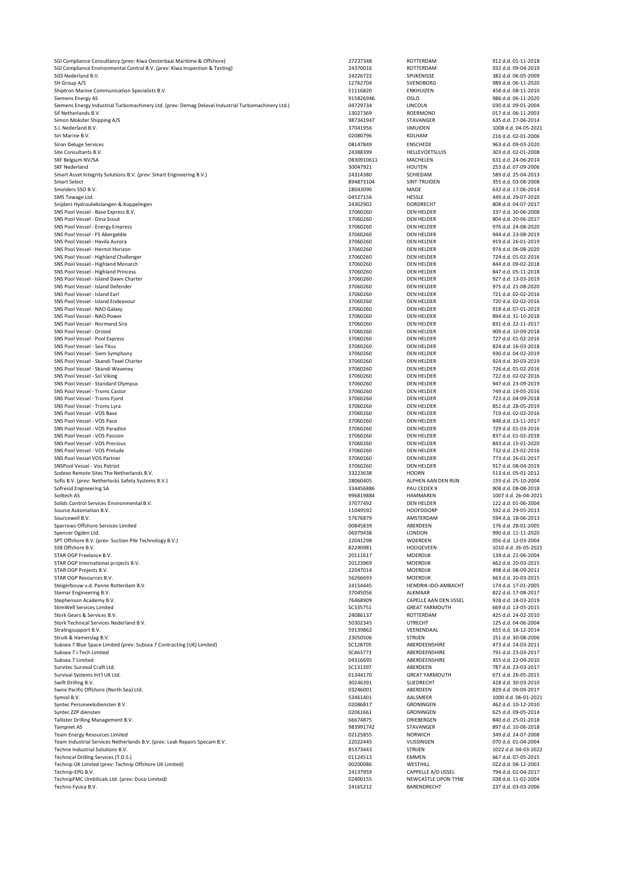| SGI Compliance Consultancy (prev: Kiwa Oesterbaai Maritime & Offshore)                             | 27237348   | ROTTERDAM                     | 912 d.d. 01-11-2018  |
|----------------------------------------------------------------------------------------------------|------------|-------------------------------|----------------------|
| SGI Compliance Environmental Control B.V. (prev: Kiwa Inspection & Testing)                        | 24370016   | ROTTERDAM                     | 932 d.d. 09-04-2019  |
| SGS Nederland B.V.                                                                                 | 24226722   | SPIJKENISSE                   | 382 d.d. 06-05-2009  |
| SH Group A/S                                                                                       | 12762704   | SVENDBORG                     | 989 d.d. 06-11-2020  |
| Shiptron Marine Communication Specialists B.V.                                                     | 51116820   | <b>ENKHUIZEN</b>              | 458 d.d. 08-11-2010  |
| <b>Siemens Energy AS</b>                                                                           | 915826946  | <b>OSLO</b>                   | 986 d.d. 06-11-2020  |
| Siemens Energy Industrial Turbomachinery Ltd. (prev: Demag Delaval Industrial Turbomachinery Ltd.) | 04729734   | <b>LINCOLN</b>                | 030 d.d. 09-01-2004  |
| Sif Netherlands B.V.                                                                               | 13027369   | <b>ROERMOND</b>               | 017 d.d. 06-11-2003  |
|                                                                                                    | 987341947  | <b>STAVANGER</b>              | 635 d.d. 27-06-2014  |
| Simon Mokster Shipping A/S                                                                         |            |                               |                      |
| S.I. Nederland B.V.                                                                                | 37041956   | <b>IJMUIDEN</b>               | 1008 d.d. 04-05-2021 |
| Siri Marine B.V.                                                                                   | 02080796   | KOLHAM                        | 216 d.d. 02-01-2006  |
| <b>Siron Deluge Services</b>                                                                       | 08147849   | <b>ENSCHEDE</b>               | 963 d.d. 09-03-2020  |
| Site Consultants B.V.                                                                              | 24388399   | <b>HELLEVOETSLUIS</b>         | 303 d.d. 02-01-2008  |
| SKF Belgium NV/SA                                                                                  | 0830910611 | <b>MACHELEN</b>               | 631 d.d. 24-06-2014  |
| <b>SKF Nederland</b>                                                                               | 30047921   | <b>HOUTEN</b>                 | 253 d.d. 07-09-2006  |
|                                                                                                    |            |                               |                      |
| Smart Asset Integrity Solutions B.V. (prev: Smart Engineering B.V.)                                | 24314380   | SCHIEDAM                      | 589 d.d. 25-04-2013  |
| <b>Smart Select</b>                                                                                | 894873104  | SINT-TRUIDEN                  | 355 d.d. 03-08-2008  |
| Smolders SSO B.V.                                                                                  | 18043090   | <b>MADE</b>                   | 632 d.d. 17-06-2014  |
| SMS Towage Ltd.                                                                                    | 04527156   | <b>HESSLE</b>                 | 449 d.d. 29-07-2010  |
| Snijders Hydrauliekslangen & Koppelingen                                                           | 24302902   | <b>DORDRECHT</b>              | 808 d.d. 04-07-2017  |
| SNS Pool Vessel - Base Express B.V.                                                                | 37060260   | <b>DEN HELDER</b>             | 337 d.d. 30-06-2008  |
| SNS Pool Vessel - Dina Scout                                                                       | 37060260   | <b>DEN HELDER</b>             | 804 d.d. 20-06-2017  |
| SNS Pool Vessel - Energy Empress                                                                   | 37060260   | <b>DEN HELDER</b>             | 976 d.d. 24-08-2020  |
| SNS Pool Vessel - FS Abergeldie                                                                    | 37060260   | <b>DEN HELDER</b>             | 944 d.d. 23-08-2019  |
| SNS Pool Vessel - Havila Aurora                                                                    | 37060260   | <b>DEN HELDER</b>             | 919 d.d. 26-01-2019  |
| SNS Pool Vessel - Hermit Horizon                                                                   | 37060260   |                               |                      |
|                                                                                                    |            | <b>DEN HELDER</b>             | 974 d.d. 06-08-2020  |
| SNS Pool Vessel - Highland Challenger                                                              | 37060260   | <b>DEN HELDER</b>             | 724 d.d. 01-02-2016  |
| SNS Pool Vessel - Highland Monarch                                                                 | 37060260   | <b>DEN HELDER</b>             | 844 d.d. 09-02-2018  |
| SNS Pool Vessel - Highland Princess                                                                | 37060260   | <b>DEN HELDER</b>             | 847 d.d. 05-11-2018  |
| SNS Pool Vessel - Island Dawn Charter                                                              | 37060260   | <b>DEN HELDER</b>             | 927 d.d. 13-03-2019  |
| SNS Pool Vessel - Island Defender                                                                  | 37060260   | <b>DEN HELDER</b>             | 975 d.d. 21-08-2020  |
| SNS Pool Vessel - Island Earl                                                                      | 37060260   | <b>DEN HELDER</b>             | 721 d.d. 02-02-2016  |
| SNS Pool Vessel - Island Endeavour                                                                 | 37060260   | <b>DEN HELDER</b>             | 720 d.d. 02-02-2016  |
| SNS Pool Vessel - NAO Galaxy                                                                       | 37060260   | <b>DEN HELDER</b>             | 918 d.d. 07-01-2019  |
| SNS Pool Vessel - NAO Power                                                                        | 37060260   | <b>DEN HELDER</b>             | 894 d.d. 31-10-2018  |
|                                                                                                    |            |                               |                      |
| SNS Pool Vessel - Normand Sira                                                                     | 37060260   | <b>DEN HELDER</b>             | 831 d.d. 22-11-2017  |
| <b>SNS Pool Vessel - Orsted</b>                                                                    | 37060260   | <b>DEN HELDER</b>             | 909 d.d. 10-09-2018  |
| SNS Pool Vessel - Pool Express                                                                     | 37060260   | <b>DEN HELDER</b>             | 727 d.d. 01-02-2016  |
| SNS Pool Vessel - Sea Titus                                                                        | 37060260   | <b>DEN HELDER</b>             | 824 d.d. 16-03-2018  |
| SNS Pool Vessel - Siem Symphony                                                                    | 37060260   | <b>DEN HELDER</b>             | 930 d.d. 04-02-2019  |
| SNS Pool Vessel - Skandi Texel Charter                                                             | 37060260   | <b>DEN HELDER</b>             | 924 d.d. 30-03-2019  |
| SNS Pool Vessel - Skandi Waveney                                                                   | 37060260   | <b>DEN HELDER</b>             | 726 d.d. 01-02-2016  |
| SNS Pool Vessel - Sol Viking                                                                       | 37060260   | DEN HELDER                    | 722 d.d. 02-02-2016  |
| SNS Pool Vessel - Standard Olympus                                                                 | 37060260   | <b>DEN HELDER</b>             | 947 d.d. 23-09-2019  |
| SNS Pool Vessel - Troms Castor                                                                     | 37060260   | <b>DEN HELDER</b>             | 749 d.d. 19-05-2016  |
|                                                                                                    |            |                               |                      |
| SNS Pool Vessel - Troms Fjord                                                                      | 37060260   | <b>DEN HELDER</b>             | 723 d.d. 04-09-2018  |
| SNS Pool Vessel - Troms Lyra                                                                       | 37060260   | <b>DEN HELDER</b>             | 852 d.d. 28-05-2019  |
| SNS Pool Vessel - VOS Base                                                                         | 37060260   | <b>DEN HELDER</b>             | 719 d.d. 02-02-2016  |
| SNS Pool Vessel - VOS Pace                                                                         | 37060260   | <b>DEN HELDER</b>             | 848 d.d. 13-11-2017  |
| SNS Pool Vessel - VOS Paradise                                                                     | 37060260   | <b>DEN HELDER</b>             | 729 d.d. 01-03-2016  |
| SNS Pool Vessel - VOS Passion                                                                      | 37060260   | <b>DEN HELDER</b>             | 837 d.d. 01-02-2018  |
| SNS Pool Vessel - VOS Precious                                                                     | 37060260   | <b>DEN HELDER</b>             | 843 d.d. 15-01-2020  |
| SNS Pool Vessel - VOS Prelude                                                                      | 37060260   | <b>DEN HELDER</b>             | 732 d.d. 23-02-2016  |
| <b>SNS Pool Vessel VOS Partner</b>                                                                 | 37060260   | <b>DEN HELDER</b>             | 773 d.d. 26-01-2017  |
| <b>SNSPool Vessel - Vos Patriot</b>                                                                | 37060260   | <b>DEN HELDER</b>             | 917 d.d. 08-04-2019  |
|                                                                                                    |            |                               |                      |
| Sodexo Remote Sites The Netherlands B.V.                                                           | 33223638   | <b>HOORN</b>                  | 513 d.d. 05-01-2012  |
| Sofis B.V. (prev: Netherlocks Safety Systems B.V.)                                                 | 28060405   | ALPHEN AAN DEN RIJN           | 159 d.d. 25-10-2004  |
| Sofresid Engineering SA                                                                            | 334456886  | PAU CEDEX 9                   | 908 d.d. 08-08-2018  |
| Soiltech AS                                                                                        | 996819884  | <b>HAMMAREN</b>               | 1007 d.d. 26-04-2021 |
| Solids Control Services Environmental B.V.                                                         | 37077492   | DEN HELDER                    | 122 d.d. 01-06-2004  |
| Source Automation B.V.                                                                             | 11049592   | <b>HOOFDDORP</b>              | 592 d.d. 29-05-2013  |
| Sourcewell B.V.                                                                                    | 57676879   | AMSTERDAM                     | 594 d.d. 18-06-2013  |
| Sparrows Offshore Services Limited                                                                 | 00845839   | ABERDEEN                      | 176 d.d. 28-01-2005  |
| Spencer Ogden Ltd.                                                                                 | 06979438   | <b>LONDON</b>                 | 990 d.d. 11-11-2020  |
| SPT Offshore B.V. (prev: Suction Pile Technology B.V.)                                             | 22041298   | <b>WOERDEN</b>                | 056 d.d. 12-03-2004  |
| SSB Offshore B.V.                                                                                  | 82240981   | <b>HOOGEVEEN</b>              | 1010 d.d. 26-05-2021 |
|                                                                                                    |            |                               |                      |
| STAR OGP Freelance B.V.                                                                            | 20111617   | <b>MOERDIJK</b>               | 134 d.d. 21-06-2004  |
| STAR OGP International projects B.V.                                                               | 20123969   | <b>MOERDIJK</b>               | 662 d.d. 20-03-2015  |
| STAR OGP Projects B.V.                                                                             | 22047014   | <b>MOERDIJK</b>               | 498 d.d. 08-09-2011  |
| STAR OGP Resources B.V.                                                                            | 56266693   | <b>MOERDIJK</b>               | 663 d.d. 20-03-2015  |
| Steigerbouw v.d. Panne Rotterdam B.V.                                                              | 24154445   | HENDRIK-IDO-AMBACHT           | 174 d.d. 17-01-2005  |
| Stemar Engineering B.V.                                                                            | 37045056   | <b>ALKMAAR</b>                | 822 d.d. 17-08-2017  |
| Stephenson Academy B.V.                                                                            | 76468909   | <b>CAPELLE AAN DEN IJSSEL</b> | 928 d.d. 18-03-2019  |
| <b>StimWell Services Limited</b>                                                                   | SC335751   | <b>GREAT YARMOUTH</b>         | 669 d.d. 13-05-2015  |
| Stork Gears & Services B.V.                                                                        | 24086137   | ROTTERDAM                     | 425 d.d. 24-02-2010  |
| Stork Technical Services Nederland B.V.                                                            | 50302345   | <b>UTRECHT</b>                | 125 d.d. 04-06-2004  |
| Stralingsupport B.V.                                                                               | 59139862   | VEENENDAAL                    | 655 d.d. 18-12-2014  |
| Struik & Hamerslag B.V.                                                                            | 23050506   | <b>STRIJEN</b>                | 251 d.d. 30-08-2006  |
|                                                                                                    |            | ABERDEENSHIRE                 |                      |
| Subsea 7 Blue Space Limited (prev: Subsea 7 Contracting (UK) Limited)                              | SC128705   |                               | 473 d.d. 14-03-2011  |
| Subsea 7 i-Tech Limited                                                                            | SC463773   | ABERDEENSHIRE                 | 791 d.d. 23-03-2017  |
| Subsea 7 Limited                                                                                   | 04316695   | ABERDEENSHIRE                 | 455 d.d. 22-09-2010  |
| Survitec Survival Craft Ltd.                                                                       | SC131397   | ABERDEEN                      | 787 d.d. 23-03-2017  |
| Survival Systems Int'l UK Ltd.                                                                     | 01344170   | <b>GREAT YARMOUTH</b>         | 671 d.d. 26-05-2015  |
| Swift Drilling B.V.                                                                                | 30246391   | <b>SLIEDRECHT</b>             | 428 d.d. 30-03-2010  |
| Swire Pacific Offshore (North Sea) Ltd.                                                            | 03246001   | ABERDEEN                      | 829 d.d. 09-09-2017  |
| Symoil B.V.                                                                                        | 53461401   | AALSMEER                      | 1000 d.d. 06-01-2021 |
| Syntec Personeelsdiensten BV.                                                                      | 02086817   | <b>GRONINGEN</b>              | 462 d.d. 10-12-2010  |
| Syntec ZZP diensten                                                                                | 02061661   | <b>GRONINGEN</b>              | 625 d.d. 09-05-2014  |
|                                                                                                    |            |                               |                      |
| Tallister Drilling Management B.V.                                                                 | 66674875   | <b>DRIEBERGEN</b>             | 840 d.d. 25-01-2018  |
| Tampnet AS                                                                                         | 983991742  | <b>STAVANGER</b>              | 897 d.d. 10-06-2018  |
| <b>Team Energy Resources Limited</b>                                                               | 02125855   | <b>NORWICH</b>                | 349 d.d. 24-07-2008  |
| Team Industrial Services Netherlands B.V. (prev: Leak Repairs Specam B.V.                          | 22022445   | VLISSINGEN                    | 070 d.d. 01-04-2004  |
| Techne Industrial Solutions B.V.                                                                   | 85373443   | <b>STRIJEN</b>                | 1022 d.d. 04-03-2022 |
| Technical Drilling Services (T.D.S.)                                                               | 01124513   | <b>EMMEN</b>                  | 667 d.d. 07-05-2015  |
| Technip UK Limited (prev: Technip Offshore UK Limited)                                             | 00200086   | WESTHILL                      | 022 d.d. 08-12-2003  |
| Technip-EPG B.V.                                                                                   | 24137959   | CAPPELLE A/D IJSSEL           | 794 d.d. 01-04-2017  |
| TechnipFMC Umbilicals Ltd. (prev: Duco Limited)                                                    | 02400155   | NEWCASTLE UPON TYNE           | 038 d.d. 11-02-2004  |
| Techno Fysica B.V.                                                                                 | 24165212   | <b>BARENDRECHT</b>            | 237 d.d. 03-03-2006  |
|                                                                                                    |            |                               |                      |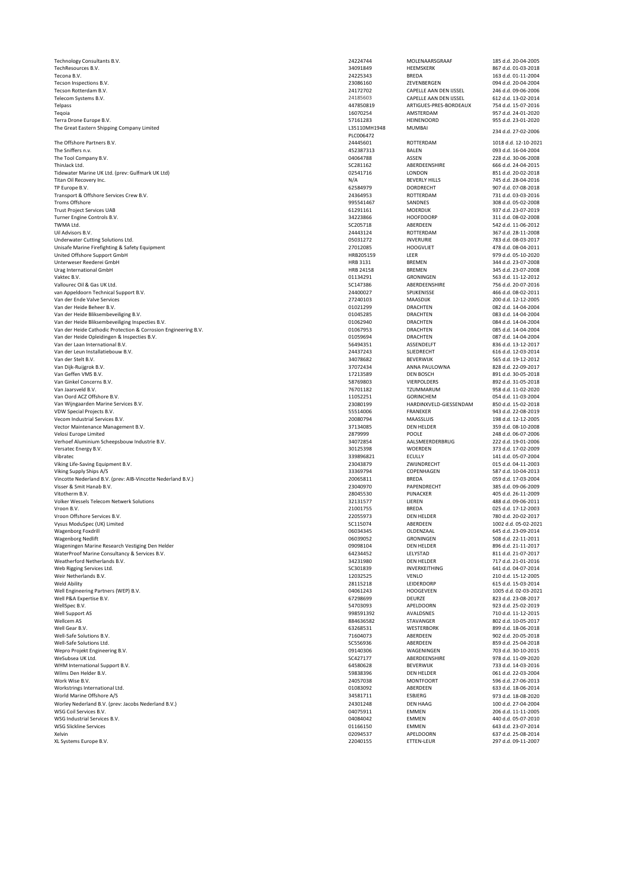| Technology Consultants B.V.                                    | 24224744             | MOLENAARSGRAAF                | 185 d.d. 20-04-2005                        |
|----------------------------------------------------------------|----------------------|-------------------------------|--------------------------------------------|
| TechResources B.V.                                             | 34091849             | HEEMSKERK                     | 867 d.d. 01-03-2018                        |
| Tecona B.V.                                                    | 24225343             | <b>BREDA</b>                  | 163 d.d. 01-11-2004                        |
|                                                                |                      |                               |                                            |
| Tecson Inspections B.V.                                        | 23086160             | ZEVENBERGEN                   | 094 d.d. 20-04-2004                        |
| Tecson Rotterdam B.V.                                          | 24172702             | CAPELLE AAN DEN IJSSEL        | 246 d.d. 09-06-2006                        |
| Telecom Systems B.V.                                           | 24185603             | <b>CAPELLE AAN DEN IJSSEL</b> | 612 d.d. 13-02-2014                        |
| Telpass                                                        | 447850819            | ARTIGUES-PRES-BORDEAUX        | 754 d.d. 15-07-2016                        |
| Tegoia                                                         | 16070254             | AMSTERDAM                     | 957 d.d. 24-01-2020                        |
|                                                                |                      |                               |                                            |
| Terra Drone Europe B.V.                                        | 57161283             | <b>HEINENOORD</b>             | 955 d.d. 23-01-2020                        |
| The Great Eastern Shipping Company Limited                     | L35110MH1948         | <b>MUMBAI</b>                 | 234 d.d. 27-02-2006                        |
|                                                                | PLC006472            |                               |                                            |
| The Offshore Partners B.V.                                     | 24445601             | ROTTERDAM                     | 1018 d.d. 12-10-2021                       |
| The Sniffers n.v.                                              | 452387313            | <b>BALEN</b>                  | 093 d.d. 16-04-2004                        |
|                                                                |                      |                               |                                            |
| The Tool Company B.V.                                          | 04064788             | <b>ASSEN</b>                  | 228 d.d. 30-06-2008                        |
| ThinJack Ltd.                                                  | SC281162             | ABERDEENSHIRE                 | 666 d.d. 24-04-2015                        |
| Tidewater Marine UK Ltd. (prev: Gulfmark UK Ltd)               | 02541716             | <b>LONDON</b>                 | 851 d.d. 20-02-2018                        |
| Titan Oil Recovery Inc.                                        | N/A                  | <b>BEVERLY HILLS</b>          | 745 d.d. 28-04-2016                        |
| TP Europe B.V.                                                 | 62584979             | <b>DORDRECHT</b>              | 907 d.d. 07-08-2018                        |
|                                                                |                      |                               |                                            |
| Transport & Offshore Services Crew B.V.                        | 24364953             | ROTTERDAM                     | 731 d.d. 03-03-2016                        |
| <b>Troms Offshore</b>                                          | 995541467            | SANDNES                       | 308 d.d. 05-02-2008                        |
| <b>Trust Project Services UAB</b>                              | 61291161             | <b>MOERDIJK</b>               | 937 d.d. 23-07-2019                        |
| Turner Engine Controls B.V.                                    | 34223866             | <b>HOOFDDORP</b>              | 311 d.d. 08-02-2008                        |
| TWMA Ltd.                                                      | SC205718             | ABERDEEN                      | 542 d.d. 11-06-2012                        |
|                                                                |                      |                               |                                            |
| Uil Advisors B.V.                                              | 24443124             | ROTTERDAM                     | 367 d.d. 28-11-2008                        |
| Underwater Cutting Solutions Ltd.                              | 05031272             | <b>INVERURIE</b>              | 783 d.d. 08-03-2017                        |
| Unisafe Marine Firefighting & Safety Equipment                 | 27012085             | <b>HOOGVLIET</b>              | 478 d.d. 08-04-2011                        |
| United Offshore Support GmbH                                   | HRB205159            | LEER                          | 979 d.d. 05-10-2020                        |
| Unterweser Reederei GmbH                                       | HRB 3131             | <b>BREMEN</b>                 | 344 d.d. 23-07-2008                        |
|                                                                |                      |                               |                                            |
| Urag International GmbH                                        | <b>HRB 24158</b>     | <b>BREMEN</b>                 | 345 d.d. 23-07-2008                        |
| Vaktec B.V.                                                    | 01134291             | <b>GRONINGEN</b>              | 563 d.d. 11-12-2012                        |
| Vallourec Oil & Gas UK Ltd.                                    | SC147386             | ABERDEENSHIRE                 | 756 d.d. 20-07-2016                        |
| van Appeldoorn Technical Support B.V.                          | 24400027             | SPIJKENISSE                   | 466 d.d. 08-02-2011                        |
| Van der Ende Valve Services                                    | 27240103             | <b>MAASDIJK</b>               | 200 d.d. 12-12-2005                        |
|                                                                |                      |                               |                                            |
| Van der Heide Beheer B.V.                                      | 01021299             | <b>DRACHTEN</b>               | 082 d.d. 14-04-2004                        |
| Van der Heide Bliksembeveiliging B.V.                          | 01045285             | <b>DRACHTEN</b>               | 083 d.d. 14-04-2004                        |
| Van der Heide Bliksembeveiliging Inspecties B.V.               | 01062940             | <b>DRACHTEN</b>               | 084 d.d. 14-04-2004                        |
| Van der Heide Cathodic Protection & Corrosion Engineering B.V. | 01067953             | <b>DRACHTEN</b>               | 085 d.d. 14-04-2004                        |
| Van der Heide Opleidingen & Inspecties B.V.                    | 01059694             | <b>DRACHTEN</b>               | 087 d.d. 14-04-2004                        |
|                                                                |                      |                               |                                            |
| Van der Laan International B.V.                                | 56494351             | ASSENDELFT                    | 836 d.d. 13-12-2017                        |
| Van der Leun Installatiebouw B.V.                              | 24437243             | <b>SLIEDRECHT</b>             | 616 d.d. 12-03-2014                        |
| Van der Stelt B.V.                                             | 34078682             | <b>BEVERWIJK</b>              | 565 d.d. 19-12-2012                        |
| Van Dijk-Ruijgrok B.V.                                         | 37072434             | ANNA PAULOWNA                 | 828 d.d. 22-09-2017                        |
| Van Geffen VMS B.V.                                            | 17213589             | <b>DEN BOSCH</b>              |                                            |
|                                                                |                      |                               | 891 d.d. 30-05-2018                        |
| Van Ginkel Concerns B.V.                                       | 58769803             | <b>VIERPOLDERS</b>            | 892 d.d. 31-05-2018                        |
| Van Jaarsveld B.V.                                             | 76701182             | TZUMMARUM                     | 958 d.d. 11-02-2020                        |
| Van Oord ACZ Offshore B.V.                                     | 11052251             | <b>GORINCHEM</b>              | 054 d.d. 11-03-2004                        |
| Van Wijngaarden Marine Services B.V.                           | 23080199             | HARDINXVELD-GIESSENDAM        | 850 d.d. 15-02-2018                        |
| VDW Special Projects B.V.                                      | 55514006             | <b>FRANEKER</b>               | 943 d.d. 22-08-2019                        |
|                                                                |                      |                               |                                            |
| Vecom Industrial Services B.V.                                 | 20080794             | <b>MAASSLUIS</b>              | 198 d.d. 12-12-2005                        |
| Vector Maintenance Management B.V.                             | 37134085             | <b>DEN HELDER</b>             | 359 d.d. 08-10-2008                        |
| Velosi Europe Limited                                          | 2879999              | <b>POOLE</b>                  | 248 d.d. 06-07-2006                        |
| Verhoef Aluminium Scheepsbouw Industrie B.V.                   | 34072854             | AALSMEERDERBRUG               | 222 d.d. 19-01-2006                        |
|                                                                |                      |                               |                                            |
| Versatec Energy B.V.                                           | 30125398             | <b>WOERDEN</b>                | 373 d.d. 17-02-2009                        |
| Vibratec                                                       | 339896821            | <b>ECULLY</b>                 | 141 d.d. 05-07-2004                        |
| Viking Life-Saving Equipment B.V.                              | 23043879             | ZWIJNDRECHT                   | 015 d.d. 04-11-2003                        |
| Viking Supply Ships A/S                                        | 33369794             | COPENHAGEN                    | 587 d.d. 10-04-2013                        |
| Vincotte Nederland B.V. (prev: AIB-Vincotte Nederland B.V.)    | 20065811             | <b>BREDA</b>                  | 059 d.d. 17-03-2004                        |
| Visser & Smit Hanab B.V.                                       |                      |                               |                                            |
|                                                                | 23040970             | PAPENDRECHT                   | 385 d.d. 09-06-2009                        |
| Vitotherm B.V.                                                 | 28045530             | <b>PIJNACKER</b>              | 405 d.d. 26-11-2009                        |
| <b>Volker Wessels Telecom Netwerk Solutions</b>                | 32131577             | LIEREN                        | 488 d.d. 09-06-2011                        |
| Vroon B.V.                                                     | 21001755             | <b>BREDA</b>                  | 025 d.d. 17-12-2003                        |
| Vroon Offshore Services B.V.                                   | 22055973             | <b>DEN HELDER</b>             | 780 d.d. 20-02-2017                        |
|                                                                |                      |                               |                                            |
| Vysus ModuSpec (UK) Limited                                    | SC115074             | ABERDEEN                      | 1002 d.d. 05-02-2021                       |
| <b>Wagenborg Foxdrill</b>                                      | 06034345             | OLDENZAAL                     | 645 d.d. 23-09-2014                        |
| <b>Wagenborg Nedlift</b>                                       | 06039052             | <b>GRONINGEN</b>              | 508 d.d. 22-11-2011                        |
| Wageningen Marine Research Vestiging Den Helder                | 09098104             | <b>DEN HELDER</b>             | 896 d.d. 21-11-2017                        |
| WaterProof Marine Consultancy & Services B.V.                  | 64234452             | LELYSTAD                      | 811 d.d. 21-07-2017                        |
| Weatherford Netherlands B.V.                                   | 34231980             | <b>DEN HELDER</b>             | 717 d.d. 21-01-2016                        |
|                                                                |                      |                               |                                            |
| Web Rigging Services Ltd.                                      | SC301839             | <b>INVERKEITHING</b>          | 641 d.d. 04-07-2014                        |
| Weir Netherlands B.V.                                          | 12032525             | <b>VENLO</b>                  | 210 d.d. 15-12-2005                        |
| <b>Weld Ability</b>                                            | 28115218             | LEIDERDORP                    | 615 d.d. 15-03-2014                        |
| Well Engineering Partners (WEP) B.V.                           | 04061243             | <b>HOOGEVEEN</b>              | 1005 d.d. 02-03-2021                       |
|                                                                | 67298699             |                               |                                            |
| Well P&A Expertise B.V.                                        |                      | <b>DEURZE</b>                 | 823 d.d. 23-08-2017                        |
| WellSpec B.V.                                                  |                      |                               |                                            |
| Well Support AS                                                | 54703093             | APELDOORN                     | 923 d.d. 25-02-2019                        |
| Wellcem AS                                                     | 998591392            | AVALDSNES                     | 710 d.d. 11-12-2015                        |
|                                                                | 884636582            | <b>STAVANGER</b>              | 802 d.d. 10-05-2017                        |
|                                                                |                      |                               |                                            |
| Well Gear B.V.                                                 | 63268531             | <b>WESTERBORK</b>             | 899 d.d. 18-06-2018                        |
| Well-Safe Solutions B.V.                                       | 71604073             | ABERDEEN                      | 902 d.d. 20-05-2018                        |
| Well-Safe Solutions Ltd.                                       | SC556936             | ABERDEEN                      | 859 d.d. 25-04-2018                        |
| Wepro Projekt Engineering B.V.                                 | 09140306             | WAGENINGEN                    | 703 d.d. 30-10-2015                        |
|                                                                |                      |                               |                                            |
| WeSubsea UK Ltd.                                               | SC427177             | ABERDEENSHIRE                 | 978 d.d. 11-09-2020                        |
| WHM International Support B.V.                                 | 64580628             | <b>BEVERWIJK</b>              | 733 d.d. 14-03-2016                        |
| Wilms Den Helder B.V.                                          | 59838396             | <b>DEN HELDER</b>             | 061 d.d. 22-03-2004                        |
| Work Wise B.V.                                                 | 24057038             | <b>MONTFOORT</b>              | 596 d.d. 27-06-2013                        |
| Workstrings International Ltd.                                 | 01083092             | ABERDEEN                      | 633 d.d. 18-06-2014                        |
|                                                                |                      |                               |                                            |
| World Marine Offshore A/S                                      | 34581711             | <b>ESBJERG</b>                | 973 d.d. 18-08-2020                        |
| Worley Nederland B.V. (prev: Jacobs Nederland B.V.)            | 24301248             | <b>DEN HAAG</b>               | 100 d.d. 27-04-2004                        |
| WSG Coil Services B.V.                                         | 04075911             | <b>EMMEN</b>                  | 206 d.d. 11-11-2005                        |
| WSG Industrial Services B.V.                                   | 04084042             | <b>EMMEN</b>                  | 440 d.d. 05-07-2010                        |
|                                                                |                      |                               |                                            |
| <b>WSG Slickline Services</b>                                  | 01166150             | <b>EMMEN</b>                  | 643 d.d. 23-07-2014                        |
| Xelvin<br>XL Systems Europe B.V.                               | 02094537<br>22040155 | APELDOORN<br>ETTEN-LEUR       | 637 d.d. 25-08-2014<br>297 d.d. 09-11-2007 |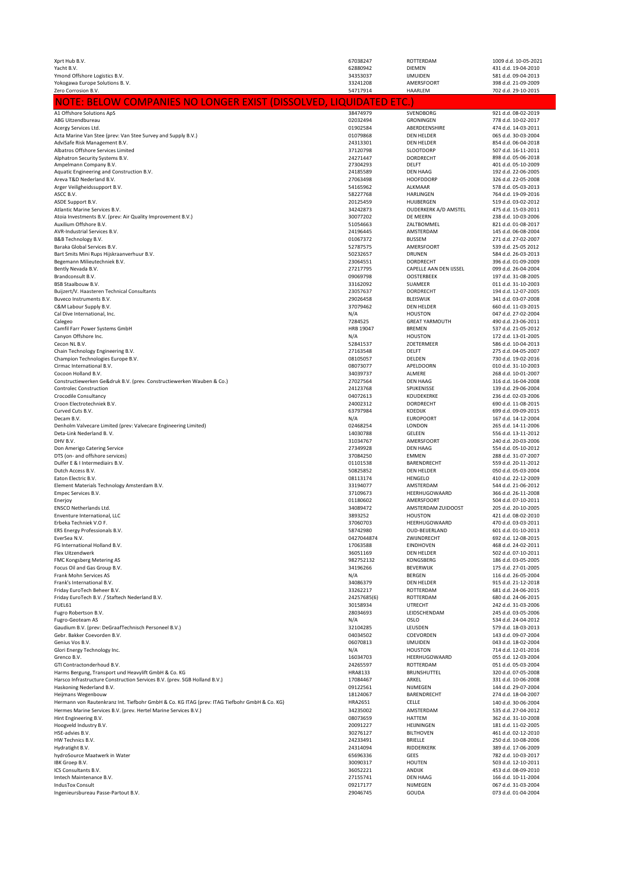| Xprt Hub B.V.                                                                                                      | 67038247             | ROTTERDAM                                 | 1009 d.d. 10-05-2021                       |
|--------------------------------------------------------------------------------------------------------------------|----------------------|-------------------------------------------|--------------------------------------------|
| Yacht B.V.<br>Ymond Offshore Logistics B.V.                                                                        | 62880942<br>34353037 | <b>DIEMEN</b><br><b>IJMUIDEN</b>          | 431 d.d. 19-04-2010<br>581 d.d. 09-04-2013 |
| Yokogawa Europe Solutions B.V.                                                                                     | 33241208             | AMERSFOORT                                | 398 d.d. 21-09-2009                        |
| Zero Corrosion B.V.                                                                                                | 54717914             | <b>HAARLEM</b>                            | 702 d.d. 29-10-2015                        |
| NOTE: BELOW COMPANIES NO LONGER EXIST (DISSOLVED, LIQUIDATED ETC.)                                                 |                      |                                           |                                            |
| A1 Offshore Solutions ApS                                                                                          | 38474979             | <b>SVENDBORG</b>                          | 921 d.d. 08-02-2019                        |
| ABG Uitzendbureau                                                                                                  | 02032494             | <b>GRONINGEN</b>                          | 778 d.d. 10-02-2017                        |
| Acergy Services Ltd.                                                                                               | 01902584             | ABERDEENSHIRE                             | 474 d.d. 14-03-2011                        |
| Acta Marine Van Stee (prev: Van Stee Survey and Supply B.V.)                                                       | 01079868             | <b>DEN HELDER</b>                         | 065 d.d. 30-03-2004                        |
| AdviSafe Risk Management B.V.                                                                                      | 24313301             | DEN HELDER                                | 854 d.d. 06-04-2018                        |
| Albatros Offshore Services Limited                                                                                 | 37120798             | SLOOTDORP                                 | 507 d.d. 16-11-2011                        |
| Alphatron Security Systems B.V.<br>Ampelmann Company B.V.                                                          | 24271447<br>27304293 | <b>DORDRECHT</b><br><b>DELFT</b>          | 898 d.d. 05-06-2018<br>401 d.d. 05-10-2009 |
| Aquatic Engineering and Construction B.V.                                                                          | 24185589             | <b>DEN HAAG</b>                           | 192 d.d. 22-06-2005                        |
| Areva T&D Nederland B.V.                                                                                           | 27063498             | <b>HOOFDDORP</b>                          | 326 d.d. 22-05-2008                        |
| Arger Veiligheidssupport B.V.                                                                                      | 54165962             | ALKMAAR                                   | 578 d.d. 05-03-2013                        |
| ASCC B.V.                                                                                                          | 58227768             | <b>HARLINGEN</b>                          | 764 d.d. 19-09-2016                        |
| ASDE Support B.V.<br>Atlantic Marine Services B.V.                                                                 | 20125459<br>34242873 | HUIJBERGEN<br><b>OUDERKERK A/D AMSTEL</b> | 519 d.d. 03-02-2012<br>475 d.d. 15-03-2011 |
| Atoia Investments B.V. (prev: Air Quality Improvement B.V.)                                                        | 30077202             | DE MEERN                                  | 238 d.d. 10-03-2006                        |
| Auxilium Offshore B.V.                                                                                             | 51054663             | ZALTBOMMEL                                | 821 d.d. 01-08-2017                        |
| AVR-Industrial Services B.V.                                                                                       | 24196445             | AMSTERDAM                                 | 145 d.d. 06-08-2004                        |
| B&B Technology B.V.                                                                                                | 01067372             | <b>BUSSEM</b>                             | 271 d.d. 27-02-2007                        |
| Baraka Global Services B.V.                                                                                        | 52787575             | AMERSFOORT                                | 539 d.d. 25-05 2012                        |
| Bart Smits Mini Rups Hijskraanverhuur B.V.<br>Begemann Milieutechniek B.V.                                         | 50232657<br>23064551 | <b>DRUNEN</b><br><b>DORDRECHT</b>         | 584 d.d. 26-03-2013<br>396 d.d. 01-09-2009 |
| Bently Nevada B.V.                                                                                                 | 27217795             | <b>CAPELLE AAN DEN IJSSEL</b>             | 099 d.d. 26-04-2004                        |
| Brandconsult B.V.                                                                                                  | 09069798             | <b>OOSTERBEEK</b>                         | 197 d.d. 31-08-2005                        |
| <b>BSB Staalbouw B.V.</b>                                                                                          | 33162092             | <b>SUAMEER</b>                            | 011 d.d. 31-10-2003                        |
| Buijzert/V. Haasteren Technical Consultants                                                                        | 23057637             | <b>DORDRECHT</b>                          | 194 d.d. 12-07-2005                        |
| Buveco Instruments B.V.                                                                                            | 29026458             | <b>BLEISWIJK</b>                          | 341 d.d. 03-07-2008                        |
| C&M Labour Supply B.V.                                                                                             | 37079462<br>N/A      | <b>DEN HELDER</b><br><b>HOUSTON</b>       | 660 d.d. 11-03-2015<br>047 d.d. 27-02-2004 |
| Cal Dive International, Inc.<br>Calegeo                                                                            | 7284525              | <b>GREAT YARMOUTH</b>                     | 490 d.d. 23-06-2011                        |
| Camfil Farr Power Systems GmbH                                                                                     | HRB 19047            | <b>BREMEN</b>                             | 537 d.d. 21-05-2012                        |
| Canyon Offshore Inc.                                                                                               | N/A                  | <b>HOUSTON</b>                            | 172 d.d. 13-01-2005                        |
| Cecon NL B.V.                                                                                                      | 52841537             | ZOETERMEER                                | 586 d.d. 10-04-2013                        |
| Chain Technology Engineering B.V.                                                                                  | 27163548             | <b>DELFT</b>                              | 275 d.d. 04-05-2007                        |
| Champion Technologies Europe B.V.                                                                                  | 08105057             | DELDEN                                    | 730 d.d. 19-02-2016                        |
| Cirmac International B.V.<br>Cocoon Holland B.V.                                                                   | 08073077<br>34039737 | APELDOORN<br><b>ALMERE</b>                | 010 d.d. 31-10-2003<br>268 d.d. 10-01-2007 |
| Constructiewerken Ge&druk B.V. (prev. Constructiewerken Wauben & Co.)                                              | 27027564             | <b>DEN HAAG</b>                           | 316 d.d. 16-04-2008                        |
| Controlec Construction                                                                                             | 24123768             | SPIJKENISSE                               | 139 d.d. 29-06-2004                        |
| <b>Crocodile Consultancy</b>                                                                                       | 04072613             | <b>KOUDEKERKE</b>                         | 236 d.d. 02-03-2006                        |
| Croon Electrotechniek B.V.                                                                                         | 24002312             | <b>DORDRECHT</b>                          | 690 d.d. 11-08-2015                        |
| Curved Cuts B.V.                                                                                                   | 63797984             | <b>KOEDIJK</b>                            | 699 d.d. 09-09-2015                        |
| Decam B.V.<br>Denholm Valvecare Limited (prev: Valvecare Engineering Limited)                                      | N/A<br>02468254      | <b>EUROPOORT</b><br><b>LONDON</b>         | 167 d.d. 14-12-2004<br>265 d.d. 14-11-2006 |
| Deta-Link Nederland B.V.                                                                                           | 14030788             | <b>GELEEN</b>                             | 556 d.d. 13-11-2012                        |
| DHV B.V.                                                                                                           | 31034767             | AMERSFOORT                                | 240 d.d. 20-03-2006                        |
| Don Amerigo Catering Service                                                                                       | 27349928             | <b>DEN HAAG</b>                           | 554 d.d. 05-10-2012                        |
| DTS (on- and offshore services)                                                                                    | 37084250             | <b>EMMEN</b>                              | 288 d.d. 31-07-2007                        |
| Dulfer E & I Intermediairs B.V.                                                                                    | 01101538             | <b>BARENDRECHT</b>                        | 559 d.d. 20-11-2012                        |
| Dutch Access B.V.<br>Eaton Electric B.V.                                                                           | 50825852<br>08113174 | <b>DEN HELDER</b><br><b>HENGELO</b>       | 050 d.d. 05-03-2004<br>410 d.d. 22-12-2009 |
| Element Materials Technology Amsterdam B.V.                                                                        | 33194077             | AMSTERDAM                                 | 544 d.d. 21-06-2012                        |
| Empec Services B.V.                                                                                                | 37109673             | HEERHUGOWAARD                             | 366 d.d. 26-11-2008                        |
| Enerjoy                                                                                                            | 01180602             | AMERSFOORT                                | 504 d.d. 07-10-2011                        |
| <b>ENSCO Netherlands Ltd.</b>                                                                                      | 34089472             | AMSTERDAM ZUIDOOST                        | 205 d.d. 20-10-2005                        |
| Enventure International, LLC                                                                                       | 3893252              | <b>HOUSTON</b>                            | 421 d.d. 08-02-2010                        |
| Erbeka Techniek V.O F.<br>ERS Energy Professionals B.V.                                                            | 37060703<br>58742980 | HEERHUGOWAARD<br><b>OUD-BEIJERLAND</b>    | 470 d.d. 03-03-2011<br>601 d.d. 01-10-2013 |
| EverSea N.V.                                                                                                       | 0427044874           | ZWIJNDRECHT                               | 692 d.d. 12-08-2015                        |
| FG International Holland B.V.                                                                                      | 17063588             | <b>EINDHOVEN</b>                          | 468 d.d. 24-02-2011                        |
| Flex Uitzendwerk                                                                                                   | 36051169             | DEN HELDER                                | 502 d.d. 07-10-2011                        |
| FMC Kongsberg Metering AS                                                                                          | 982752132            | <b>KONGSBERG</b>                          | 186 d.d. 03-05-2005                        |
| Focus Oil and Gas Group B.V.                                                                                       | 34196266             | <b>BEVERWIJK</b>                          | 175 d.d. 27-01-2005                        |
| Frank Mohn Services AS<br>Frank's International B.V.                                                               | N/A                  | <b>BERGEN</b><br><b>DEN HELDER</b>        | 116 d.d. 26-05-2004                        |
| Friday EuroTech Beheer B.V.                                                                                        | 34086379<br>33262217 | ROTTERDAM                                 | 915 d.d. 21-12-2018<br>681 d.d. 24-06-2015 |
| Friday EuroTech B.V. / Staftech Nederland B.V.                                                                     | 24257685(6)          | ROTTERDAM                                 | 680 d.d. 24-06-2015                        |
| FUEL61                                                                                                             | 30158934             | <b>UTRECHT</b>                            | 242 d.d. 31-03-2006                        |
| Fugro Robertson B.V.                                                                                               | 28034693             | LEIDSCHENDAM                              | 245 d.d. 03-05-2006                        |
| Fugro-Geoteam AS                                                                                                   | N/A                  | <b>OSLO</b>                               | 534 d.d. 24-04-2012                        |
| Gaudium B.V. (prev: DeGraafTechnisch Personeel B.V.)                                                               | 32104285             | LEUSDEN                                   | 579 d.d. 18-03-2013                        |
| Gebr. Bakker Coevorden B.V.<br>Genius Vos B.V.                                                                     | 04034502<br>06070813 | <b>COEVORDEN</b><br><b>IJMUIDEN</b>       | 143 d.d. 09-07-2004<br>043 d.d. 18-02-2004 |
| Glori Energy Technology Inc.                                                                                       | N/A                  | <b>HOUSTON</b>                            | 714 d.d. 12-01-2016                        |
| Grenco B.V.                                                                                                        | 16034703             | HEERHUGOWAARD                             | 055 d.d. 12-03-2004                        |
| GTI Contractonderhoud B.V.                                                                                         | 24265597             | ROTTERDAM                                 | 051 d.d. 05-03-2004                        |
| Harms Bergung, Transport und Heavylift GmbH & Co. KG                                                               | HRA8133              | <b>BRUNSHUTTEL</b>                        | 320 d.d. 07-05-2008                        |
| Harsco Infrastructure Construction Services B.V. (prev. SGB Holland B.V.)                                          | 17084467             | ARKEL                                     | 331 d.d. 10-06-2008                        |
| Haskoning Nederland B.V.                                                                                           | 09122561<br>18124067 | <b>NIJMEGEN</b><br><b>BARENDRECHT</b>     | 144 d.d. 29-07-2004<br>274 d.d. 18-04-2007 |
| Heijmans Wegenbouw<br>Hermann von Rautenkranz Int. Tiefbohr GmbH & Co. KG ITAG (prev: ITAG Tiefbohr GmbH & Co. KG) | HRA2651              | <b>CELLE</b>                              | 140 d.d. 30-06-2004                        |
| Hermes Marine Services B.V. (prev. Hertel Marine Services B.V.)                                                    | 34235002             | AMSTERDAM                                 | 535 d.d. 27-04-2012                        |
| Hint Engineering B.V.                                                                                              | 08073659             | <b>HATTEM</b>                             | 362 d.d. 31-10-2008                        |
| Hoogveld Industry B.V.                                                                                             | 20091227             | HEIJNINGEN                                | 181 d.d. 11-02-2005                        |
| HSE-advies B.V.                                                                                                    | 30276127             | <b>BILTHOVEN</b>                          | 461 d.d. 02-12-2010                        |
| HW Technics B.V.                                                                                                   | 24233491             | <b>BRIELLE</b>                            | 250 d.d. 10-08-2006                        |
| Hydratight B.V.<br>hydroSource Maatwerk in Water                                                                   | 24314094<br>65696336 | RIDDERKERK<br><b>GEES</b>                 | 389 d.d. 17-06-2009<br>782 d.d. 10-03-2017 |
| IBK Groep B.V.                                                                                                     | 30090317             | <b>HOUTEN</b>                             | 503 d.d. 12-10-2011                        |
| ICS Consultants B.V.                                                                                               | 36052221             | <b>ANDIJK</b>                             | 453 d.d. 08-09-2010                        |
| Imtech Maintenance B.V.                                                                                            | 27155741             | <b>DEN HAAG</b>                           | 166 d.d. 10-11-2004                        |
| <b>IndusTox Consult</b>                                                                                            | 09217177             | NIJMEGEN                                  | 067 d.d. 31-03-2004                        |
| Ingenieursbureau Passe-Partout B.V.                                                                                | 29046745             | <b>GOUDA</b>                              | 073 d.d. 01-04-2004                        |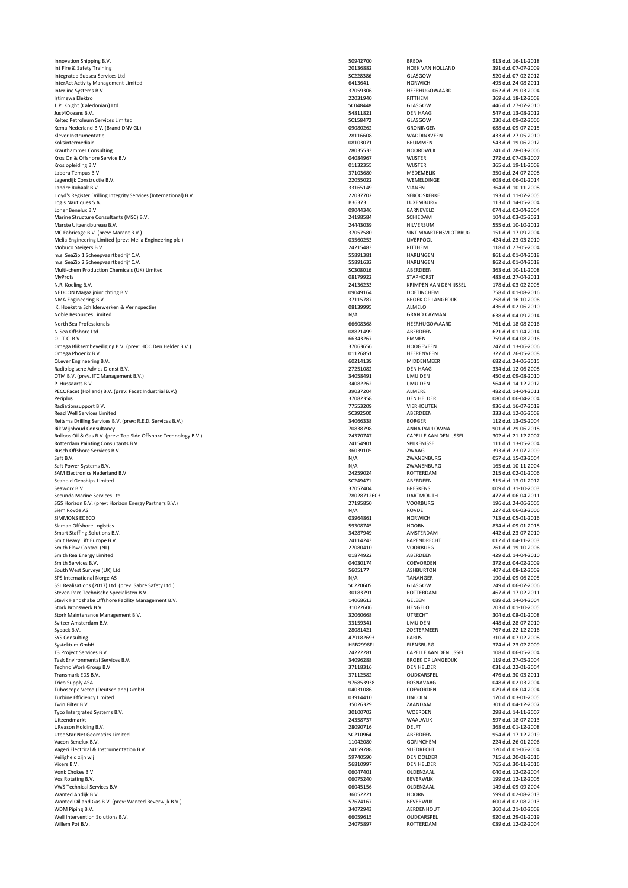| Innovation Shipping B.V.                                          | 50942700             | <b>BREDA</b>                    | 913 d.d. 16-11-2018                        |
|-------------------------------------------------------------------|----------------------|---------------------------------|--------------------------------------------|
| Int Fire & Safety Training                                        | 20136882             | <b>HOEK VAN HOLLAND</b>         | 391 d.d. 07-07-2009                        |
| Integrated Subsea Services Ltd.                                   | SC228386<br>6413641  | <b>GLASGOW</b>                  | 520 d.d. 07-02-2012                        |
| InterAct Activity Management Limited<br>Interline Systems B.V.    | 37059306             | <b>NORWICH</b><br>HEERHUGOWAARD | 495 d.d. 24-08-2011<br>062 d.d. 29-03-2004 |
| Istimewa Elektro                                                  | 22031940             | <b>RITTHEM</b>                  | 369 d.d. 18-12-2008                        |
| J. P. Knight (Caledonian) Ltd.                                    | SC048448             | GLASGOW                         | 446 d.d. 27-07-2010                        |
| Just4Oceans B.V.                                                  | 54811821             | <b>DEN HAAG</b>                 | 547 d.d. 13-08-2012                        |
| Keltec Petroleum Services Limited                                 | SC158472             | GLASGOW                         | 230 d.d. 09-02-2006                        |
| Kema Nederland B.V. (Brand DNV GL)                                | 09080262             | <b>GRONINGEN</b>                | 688 d.d. 09-07-2015                        |
| Klever Instrumentatie                                             | 28116608             | WADDINXVEEN                     | 433 d.d. 27-05-2010                        |
| Koksintermediair                                                  | 08103071             | <b>BRUMMEN</b>                  | 543 d.d. 19-06-2012                        |
| Krauthammer Consulting                                            | 28035533             | <b>NOORDWIJK</b>                | 241 d.d. 28-03-2006                        |
| Kros On & Offshore Service B.V.                                   | 04084967             | <b>WIJSTER</b>                  | 272 d.d. 07-03-2007                        |
| Kros opleiding B.V.                                               | 01132355             | <b>WIJSTER</b>                  | 365 d.d. 19-11-2008                        |
| Labora Tempus B.V.                                                | 37103680             | <b>MEDEMBLIK</b>                | 350 d.d. 24-07-2008                        |
| Lagendijk Constructie B.V.                                        | 22055022             | WEMELDINGE                      | 608 d.d. 06-01-2014                        |
| Landre Ruhaak B.V.                                                | 33165149             | <b>VIANEN</b>                   | 364 d.d. 10-11-2008                        |
| Lloyd's Register Drilling Integrity Services (International) B.V. | 22037702             | <b>SEROOSKERKE</b>              | 193 d.d. 11-07-2005                        |
| Logis Nautiques S.A.                                              | B36373               | LUXEMBURG                       | 113 d.d. 14-05-2004                        |
| Loher Benelux B.V.                                                | 09044346             | BARNEVELD                       | 074 d.d. 02-04-2004                        |
| Marine Structure Consultants (MSC) B.V.                           | 24198584             | SCHIEDAM                        | 104 d.d. 03-05-2021                        |
| Marste Uitzendbureau B.V.                                         | 24443039             | <b>HILVERSUM</b>                | 555 d.d. 10-10-2012                        |
| MC Fabricage B.V. (prev: Marant B.V.)                             | 37057580             | SINT MAARTENSVLOTBRUG           | 151 d.d. 17-09-2004                        |
| Melia Engineering Limited (prev: Melia Engineering plc.)          | 03560253             | <b>LIVERPOOL</b>                | 424 d.d. 23-03-2010                        |
| Mobuco Steigers B.V.                                              | 24215483             | <b>RITTHEM</b>                  | 118 d.d. 27-05-2004                        |
| m.s. SeaZip 1 Scheepvaartbedrijf C.V.                             | 55891381             | HARLINGEN                       | 861 d.d. 01-04-2018                        |
| m.s. SeaZip 2 Scheepvaartbedrijf C.V.                             | 55891632             | HARLINGEN                       | 862 d.d. 01-04-2018                        |
| Multi-chem Production Chemicals (UK) Limited                      | SC308016             | ABERDEEN                        | 363 d.d. 10-11-2008                        |
| <b>MyProfs</b>                                                    | 08179922             | <b>STAPHORST</b>                | 483 d.d. 27-04-2011                        |
| N.R. Koeling B.V.                                                 | 24136233             | KRIMPEN AAN DEN IJSSEL          | 178 d.d. 03-02-2005                        |
| NEDCON Magazijninrichting B.V.                                    | 09049164             | <b>DOETINCHEM</b>               | 758 d.d. 01-08-2016                        |
| NMA Engineering B.V.                                              | 37115787             | <b>BROEK OP LANGEDIJK</b>       | 258 d.d. 16-10-2006                        |
| K. Hoekstra Schilderwerken & Verinspecties                        | 08139995             | ALMELO                          | 436 d.d. 02-06-2010                        |
| Noble Resources Limited                                           | N/A                  | <b>GRAND CAYMAN</b>             | 638 d.d. 04-09-2014                        |
| North Sea Professionals                                           | 66608368             | HEERHUGOWAARD                   | 761 d.d. 18-08-2016                        |
| N-Sea Offshore Ltd.                                               | 08821499             | ABERDEEN                        | 621 d.d. 01-04-2014                        |
| O.I.T.C. B.V.                                                     | 66343267             | <b>EMMEN</b>                    | 759 d.d. 04-08-2016                        |
| Omega Bliksembeveiliging B.V. (prev: HOC Den Helder B.V.)         | 37063656             | <b>HOOGEVEEN</b>                | 247 d.d. 13-06-2006                        |
| Omega Phoenix B.V.                                                | 01126851             | HEERENVEEN                      | 327 d.d. 26-05-2008                        |
| QLever Engineering B.V.                                           | 60214139             | <b>MIDDENMEER</b>               | 682 d.d. 24-06-2015                        |
| Radiologische Advies Dienst B.V.                                  | 27251082             | <b>DEN HAAG</b>                 | 334 d.d. 12-06-2008                        |
| OTM B.V. (prev. ITC Management B.V.)                              | 34058491             | <b>IJMUIDEN</b>                 | 450 d.d. 09-08-2010                        |
| P. Hussaarts B.V.                                                 | 34082262             | <b>IJMUIDEN</b>                 | 564 d.d. 14-12-2012                        |
| PECOFacet (Holland) B.V. (prev: Facet Industrial B.V.)            | 39037204             | ALMERE                          | 482 d.d. 14-04-2011                        |
| Periplus                                                          | 37082358             | <b>DEN HELDER</b>               | 080 d.d. 06-04-2004                        |
| Radiationsupport B.V.                                             | 77553209             | <b>VIERHOUTEN</b>               | 936 d.d. 16-07-2019                        |
| Read Well Services Limited                                        | SC392500             | ABERDEEN                        | 333 d.d. 12-06-2008                        |
| Reitsma Drilling Services B.V. (prev: R.E.D. Services B.V.)       | 34066338             | <b>BORGER</b>                   | 112 d.d. 13-05-2004                        |
| Rik Wijnhoud Consultancy                                          | 70838798             | ANNA PAULOWNA                   | 901 d.d. 29-06-2018                        |
| Rolloos Oil & Gas B.V. (prev: Top Side Offshore Technology B.V.)  | 24370747             | <b>CAPELLE AAN DEN IJSSEL</b>   | 302 d.d. 21-12-2007                        |
| Rotterdam Painting Consultants B.V.                               | 24154901             | SPIJKENISSE                     | 111 d.d. 13-05-2004                        |
|                                                                   |                      |                                 | 393 d.d. 23-07-2009                        |
| Rusch Offshore Services B.V.                                      | 36039105             | ZWAAG                           |                                            |
| Saft B.V.                                                         | N/A                  | ZWANENBURG                      | 057 d.d. 15-03-2004                        |
| Saft Power Systems B.V.                                           | N/A                  | ZWANENBURG                      | 165 d.d. 10-11-2004                        |
| SAM Electronics Nederland B.V.                                    | 24259024             | ROTTERDAM                       | 215 d.d. 02-01-2006                        |
| Seahold Geoships Limited                                          | SC249471             | ABERDEEN                        | 515 d.d. 13-01-2012                        |
| Seaworx B.V.                                                      | 37057404             | <b>BRESKENS</b>                 | 009 d.d. 31-10-2003                        |
| Secunda Marine Services Ltd.                                      | 78028712603          | <b>DARTMOUTH</b>                | 477 d.d. 06-04-2011                        |
| SGS Horizon B.V. (prev: Horizon Energy Partners B.V.)             | 27195850             | <b>VOORBURG</b>                 | 196 d.d. 24-06-2005                        |
| Siem Rovde AS                                                     | N/A                  | <b>ROVDE</b>                    | 227 d.d. 06-03-2006                        |
| <b>SIMMONS EDECO</b>                                              | 03964861             | <b>NORWICH</b>                  | 713 d.d. 05-01-2016                        |
| Slaman Offshore Logistics                                         | 59308745             | <b>HOORN</b>                    | 834 d.d. 09-01-2018                        |
| Smart Staffing Solutions B.V.                                     | 34287949             | AMSTERDAM                       | 442 d.d. 23-07-2010                        |
| Smit Heavy Lift Europe B.V.                                       | 24114243             | PAPENDRECHT                     | 012 d.d. 04-11-2003                        |
| Smith Flow Control (NL)                                           | 27080410             | <b>VOORBURG</b>                 | 261 d.d. 19-10-2006                        |
| Smith Rea Energy Limited                                          | 01874922             | ABERDEEN                        | 429 d.d. 14-04-2010                        |
| Smith Services B.V.                                               | 04030174             | <b>COEVORDEN</b>                | 372 d.d. 04-02-2009                        |
| South West Surveys (UK) Ltd.                                      | 5605177              | <b>ASHBURTON</b>                | 407 d.d. 08-12-2009                        |
| SPS International Norge AS                                        | N/A                  | <b>TANANGER</b>                 | 190 d.d. 09-06-2005                        |
| SSL Realisations (2017) Ltd. (prev: Sabre Safety Ltd.)            | SC220605             | GLASGOW                         | 249 d.d. 06-07-2006                        |
| Steven Parc Technische Specialisten B.V.                          | 30183791             | ROTTERDAM                       | 467 d.d. 17-02-2011                        |
| Stevik Handshake Offshore Facility Management B.V.                | 14068613             | <b>GELEEN</b>                   | 089 d.d. 14-04-2004                        |
| Stork Bronswerk B.V.                                              | 31022606             | <b>HENGELO</b>                  | 203 d.d. 01-10-2005                        |
| Stork Maintenance Management B.V.                                 | 32060668             | <b>UTRECHT</b>                  | 304 d.d. 08-01-2008                        |
| Svitzer Amsterdam B.V.                                            | 33159341             | <b>IJMUIDEN</b>                 | 448 d.d. 28-07-2010                        |
| Sypack B.V.                                                       | 28081421             | ZOETERMEER                      | 767 d.d. 22-12-2016                        |
| <b>SYS Consulting</b>                                             | 479182693            | <b>PARIJS</b>                   | 310 d.d. 07-02-2008                        |
| Systektum GmbH                                                    | <b>HRB2998FL</b>     | <b>FLENSBURG</b>                | 374 d.d. 23-02-2009                        |
| T3 Project Services B.V.                                          | 24222281             | <b>CAPELLE AAN DEN IJSSEL</b>   | 108 d.d. 06-05-2004                        |
| Task Environmental Services B.V.                                  | 34096288             | <b>BROEK OP LANGEDIJK</b>       | 119 d.d. 27-05-2004                        |
| Techno Work Group B.V.                                            | 37118316             | <b>DEN HELDER</b>               | 031 d.d. 22-01-2004                        |
| Transmark EDS B.V.                                                | 37112582             | OUDKARSPEL                      | 476 d.d. 30-03-2011                        |
| <b>Trico Supply ASA</b>                                           | 976853938            | <b>FOSNAVAAG</b>                | 048 d.d. 02-03-2004                        |
| Tuboscope Vetco (Deutschland) GmbH                                | 04031086             | <b>COEVORDEN</b>                | 079 d.d. 06-04-2004                        |
| Turbine Efficiency Limited                                        | 03914410             | <b>LINCOLN</b>                  | 170 d.d. 03-01-2005                        |
| Twin Filter B.V.                                                  | 35026329             | ZAANDAM                         | 301 d.d. 04-12-2007                        |
| Tyco Intergrated Systems B.V.                                     | 30100702             | <b>WOERDEN</b>                  | 298 d.d. 14-11-2007                        |
| Uitzendmarkt                                                      | 24358737             | WAALWIJK                        | 597 d.d. 18-07-2013                        |
| UReason Holding B.V.                                              | 28090716             | <b>DELFT</b>                    | 368 d.d. 01-12-2008                        |
| Utec Star Net Geomatics Limited                                   | SC210964             | ABERDEEN                        | 954 d.d. 17-12-2019                        |
| Vacon Benelux B.V.                                                | 11042080             | <b>GORINCHEM</b>                | 224 d.d. 26-01-2006                        |
| Vageri Electrical & Instrumentation B.V.                          | 24159788             | <b>SLIEDRECHT</b>               | 120 d.d. 01-06-2004                        |
| Veiligheid zijn wij                                               | 59740590             | <b>DEN DOLDER</b>               | 715 d.d. 20-01-2016                        |
| Vixers B.V.                                                       | 56810997             | <b>DEN HELDER</b>               | 765 d.d. 30-11-2016                        |
| Vonk Chokes B.V.                                                  | 06047401             | OLDENZAAL                       | 040 d.d. 12-02-2004                        |
| Vos Rotating B.V.                                                 | 06075240             | <b>BEVERWIJK</b>                | 199 d.d. 12-12-2005                        |
| VWS Technical Services B.V.                                       | 06045156             | OLDENZAAL                       | 149 d.d. 09-09-2004                        |
| Wanted Andijk B.V.                                                | 36052221             | <b>HOORN</b>                    | 599 d.d. 02-08-2013                        |
| Wanted Oil and Gas B.V. (prev: Wanted Beverwijk B.V.)             | 57674167             | <b>BEVERWIJK</b>                | 600 d.d. 02-08-2013                        |
| WDM Piping B.V.                                                   | 34072943             | AERDENHOUT                      | 360 d.d. 21-10-2008                        |
| Well Intervention Solutions B.V.<br>Willem Pot B.V.               | 66059615<br>24075897 | OUDKARSPEL<br>ROTTERDAM         | 920 d.d. 29-01-2019<br>039 d.d. 12-02-2004 |